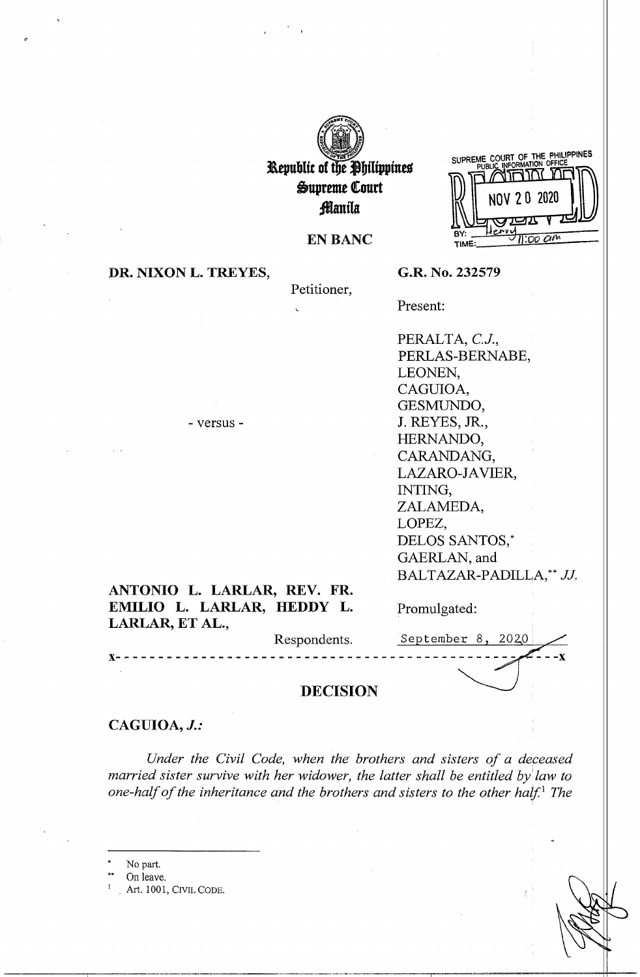

**l\tpublic of t e jbilippines &upreme Court :fflanila** 

**EN BANC** 

SUPREME COURT OF THE PHILIPPINES שם ההרחוא 2 0 2020  $\overline{200}$   $\overline{60}$ **TIME** 

**DR. NIXON L. TREYES,** 

Petitioner,

**G.R. No. 232579** 

Present:

PERALTA, C.J., PERLAS-BERNABE, LEONEN, CAGUIOA, GESMUNDO, **J.** REYES, **JR.,**  HERNANDO, CARANDANG, LAZARO-JAVIER, INTING, ZALAMEDA, LOPEZ, DELOS SANTOS,\* GAERLAN, and BALTAZAR-PADILLA,\*\* JJ.

# **ANTONIO L. LARLAR, REV. FR. EMILIO L. LARLAR, HEDDY L. LARLAR, ET AL.,**

- versus -

Promulgated:

Respondents.

 $S$ eptember 8, 2020 **x-----------------------------------------------**

 $-**x**$ 

### **DECISION**

# **CAGUIOA,** *J.:*

*Under the Civil Code, when the brothers and sisters of a deceased married sister survive with her widower, the latter shall be entitled by law to one-half of the inheritance and the brothers and sisters to the other half.* <sup>1</sup>*The* 

- No part.
- On leave.
- Art. 1001, CIVIL CODE.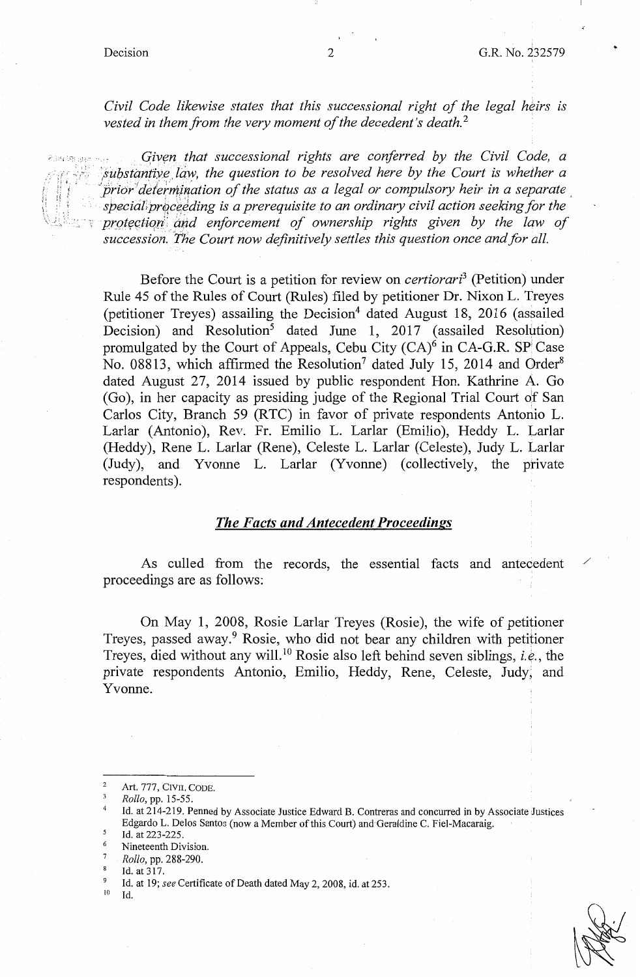$\,$ ',

..

*Civil Code likewise states that this successional right of the legal heirs is vested in them from the very moment of the decedent's death. <sup>2</sup>*

Given that successional rights are conferred by the Civil Code, a substantive law, the question to be resolved here by the Court is whether a prior determination of the status as a legal or compulsory heir in a separate special proceeding is a prerequisite to an ordinary civil action seeking for the protection and enforcement of ownership rights given by the law of *succession. "The Court now definitively settles this question once and for all.* 

Before the Court is a petition for review on *certiorari3* (Petition) under Rule 45 of the Rules of Court (Rules) filed by petitioner Dr. Nixon L. Treyes (petitioner Treyes) assailing the Decision<sup>4</sup> dated August 18, 2016 (assailed Decision) and Resolution<sup>5</sup> dated June 1, 2017 (assailed Resolution) promulgated by the Court of Appeals, Cebu City  $(CA)^{\hat{6}}$  in CA-G.R. SP Case No. 08813, which affirmed the Resolution<sup>7</sup> dated July 15, 2014 and Order<sup>8</sup> dated August 27, 2014 issued by public respondent Hon. Kathrine A. Go (Go), in her capacity as presiding judge of the Regional Trial Court of San Carlos City, Branch 59 (RTC) in favor of private respondents Antonio L. Larlar (Antonio), Rev. Fr. Emilio L. Larlar (Emilio), Reddy L. Larlar (Reddy), Rene L. Larlar (Rene), Celeste L. Larlar (Celeste), Judy L. Larlar (Judy), and Yvonne L. Larlar (Yvonne) (collectively, the private respondents).

#### *The Facts and Antecedent Proceedings*

As culled from the records, the essential facts and antecedent proceedings are as follows:

On May 1, 2008, Rosie Larlar Treyes (Rosie), the wife of petitioner Treyes, passed away.<sup>9</sup> Rosie, who did not bear any children with petitioner Treyes, died without any will. 10 Rosie also left behind seven siblings, *i.e.,* the private respondents Antonio, Emilio, Heddy, Rene, Celeste, Judy, and Yvonne.



/

Art. 777, CIVIL CODE.

<sup>3</sup> *Rollo,* pp. 15-55.

<sup>4</sup>Id. at 214-219. Penned by Associate Justice Edward B. Contreras and concurred in by Associate Justices Edgardo L. Delos Santos (now a Member of this Court) and Geraldine C. Fiel-Macaraig. Id. at 223-225.

Nineteenth Division.

<sup>7</sup> *Rollo,* pp. 288-290.

 $^{8}$  Id. at 317.

<sup>&</sup>lt;sup>9</sup> Id. at 19; *see* Certificate of Death dated May 2, 2008, id. at 253. <sup>10</sup> Id.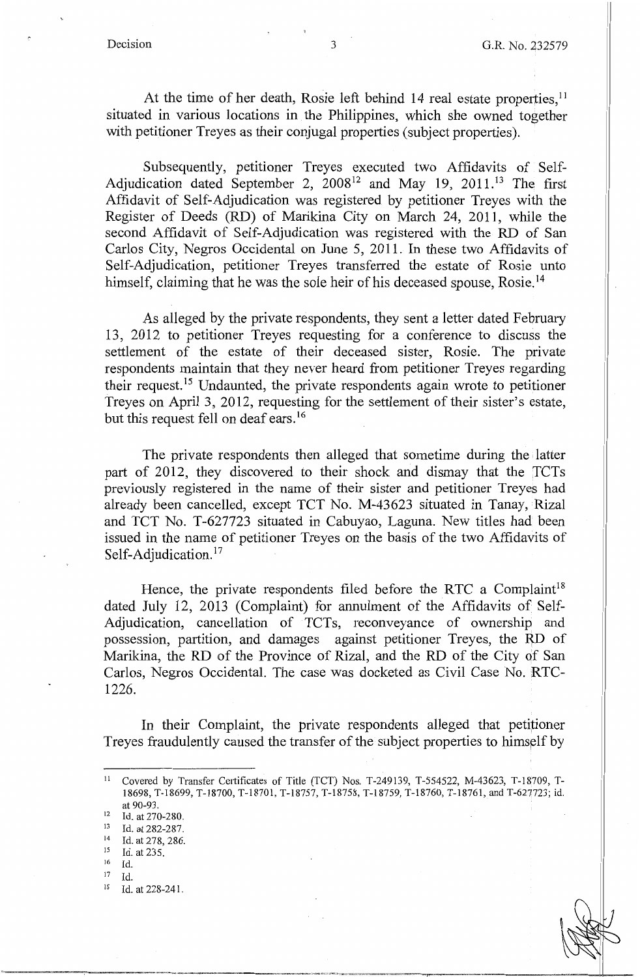At the time of her death, Rosie left behind 14 real estate properties,<sup>11</sup> situated in various locations in the Philippines, which she owned together with petitioner Treyes as their conjugal properties (subject properties).

Subsequently, petitioner Treyes executed two Affidavits of Self-Adjudication dated September 2, 2008<sup>12</sup> and May 19, 2011.<sup>13</sup> The first Affidavit of Self-Adjudication was registered by petitioner Treyes with the Register of Deeds (RD) of Marikina City on March 24, 2011, while the second Affidavit of Self-Adjudication was registered with the RD of San Carlos City, Negros Occidental on June 5, 2011. In these two Affidavits of Self-Adjudication, petitioner Treyes transferred the estate of Rosie unto himself, claiming that he was the sole heir of his deceased spouse, Rosie.<sup>14</sup>

As alleged by the private respondents, they sent a letter dated February 13, 2012 to petitioner Treyes requesting for a conference to discuss the settlement of the estate of their deceased sister, Rosie. The private respondents maintain that they never heard from petitioner Treyes regarding their request. 15 Undaunted, the private respondents again wrote to petitioner Treyes on April 3, 2012, requesting for the settlement of their sister's estate, but this request fell on deaf ears.<sup>16</sup>

The private respondents then alleged that sometime during the • latter part of 2012, they discovered to their shock and dismay that the 'fCTs previously registered in the name of their sister and petitioner Treyes had already been cancelled, except TCT No. M-43623 situated in Tanay, Rizal and TCT No. T-627723 situated in Cabuyao, Laguna. New titles had been issued in the name of petitioner Treyes on the basis of the two Affidavits of Self-Adjudication.<sup>17</sup>

Hence, the private respondents filed before the RTC a Complaint<sup>18</sup> dated July 12, 2013 (Complaint) for annulment of the Affidavits of Self-Adjudication, cancellation of TCTs, reconveyance of ownership and possession, partition, and damages against petitioner Treyes, the RD of Marikina, the RD of the Province of Rizal, and the RD of the City of San Carlos, Negros Occidental. The case was docketed as Civil Case No. RTC-1226.

In their Complaint, the private respondents alleged that petitioner Treyes fraudulently caused the transfer of the subject properties to himsplf by

- 
- 
- <sup>12</sup> Id. at 270-280.<br>
<sup>13</sup> Id. at 282-287.<br>
<sup>14</sup> Id. at 278, 286.<br>
<sup>15</sup> Id. at 235.
- $^{15}$  Id. at 235.
- 16 Id.
- $17$  Id.
- 18 Id. at 228-241.

<sup>&</sup>lt;sup>11</sup> Covered by Transfer Certificates of Title (TCT) Nos. T-249139, T-554522, M-43623, T-18709, T-18698, T-18699, T-18700, T-18701, T-18757, T-18758, T-18759, T-18760, T-18761, and T-627723; id. at 90-93.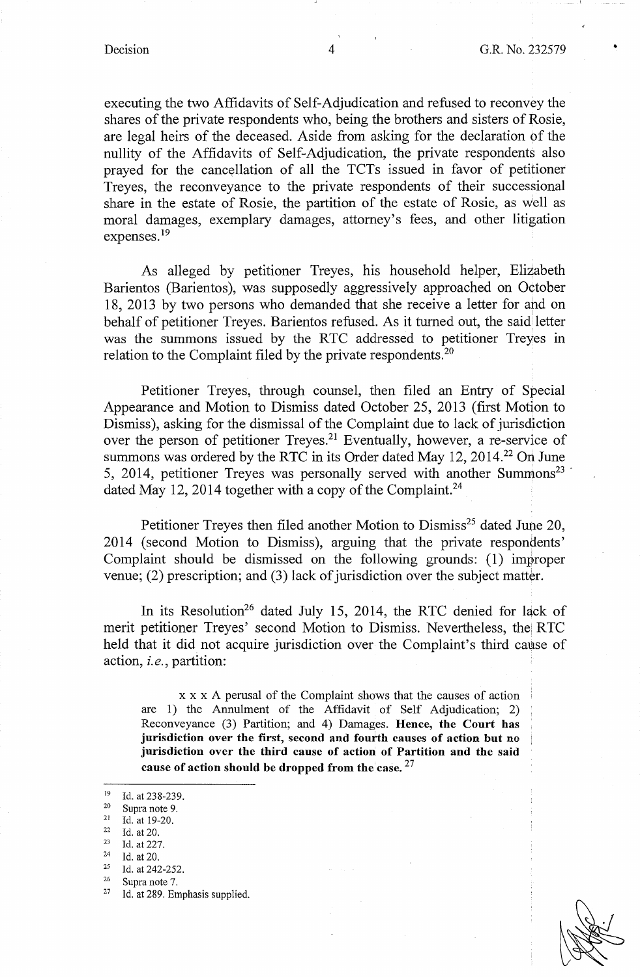•

executing the two Affidavits of Self-Adjudication and refused to reconvey the shares of the private respondents who, being the brothers and sisters of Rosie, are legal heirs of the deceased. Aside from asking for the declaration of the nullity of the Affidavits of Self-Adjudication, the private respondents also prayed for the cancellation of all the TCTs issued in favor of petitioner Treyes, the reconveyance to the private respondents of their successional share in the estate of Rosie, the partition of the estate of Rosie, as well as moral damages, exemplary damages, attorney's fees, and other litigation expenses. 19

As alleged by petitioner Treyes, his household helper, Elizabeth Barientos (Barientos), was supposedly aggressively approached on October 18, 2013 by two persons who demanded that she receive a letter for ahd on behalf of petitioner Treyes. Barientos refused. As it turned out, the said letter was the summons issued by the RTC addressed to petitioner Treyes in relation to the Complaint filed by the private respondents.<sup>20</sup>

Petitioner Treyes, through counsel, then filed an Entry of Special Appearance and Motion to Dismiss dated October 25, 2013 (first Motion to Dismiss), asking for the dismissal of the Complaint due to lack of jurisdiction over the person of petitioner Treyes.<sup>21</sup> Eventually, however, a re-service of summons was ordered by the RTC in its Order dated May 12, 2014.<sup>22</sup> On June 5, 2014, petitioner Treyes was personally served with another Summons<sup>23</sup> dated May 12, 2014 together with a copy of the Complaint.<sup>24</sup>

Petitioner Treyes then filed another Motion to Dismiss<sup>25</sup> dated June 20, 2014 ( second Motion to Dismiss), arguing that the private respondents' Complaint should be dismissed on the following grounds: (1) improper venue; (2) prescription; and (3) lack of jurisdiction over the subject matter.

In its Resolution<sup>26</sup> dated July 15, 2014, the RTC denied for lack of merit petitioner Treyes' second Motion to Dismiss. Nevertheless, the RTC held that it did not acquire jurisdiction over the Complaint's third cause of action, *i.e.,* partition:

x x x A perusal of the Complaint shows that the causes of action are 1) the Annulment of the Affidavit of Self Adjudication; 2) Reconveyance (3) Partition; and 4) Damages. **Hence, the Court has jurisdiction over the first, second and fourth causes of action but no jurisdiction over the third cause of action of Partition and the said cause of action should be dropped from the case.** <sup>27</sup>

- 
- 
- 
- 
- <sup>19</sup> Id. at 238-239.<br>
<sup>21</sup> Id. at 19-20.<br>
<sup>21</sup> Id. at 20.<br>
<sup>23</sup> Id. at 227.<br>
<sup>24</sup> Id. at 227.<br>
<sup>25</sup> Id. at 242-252.<br>
<sup>26</sup> Supra note 7.<br>
<sup>27</sup> Id. at 289. Emphasis supplied.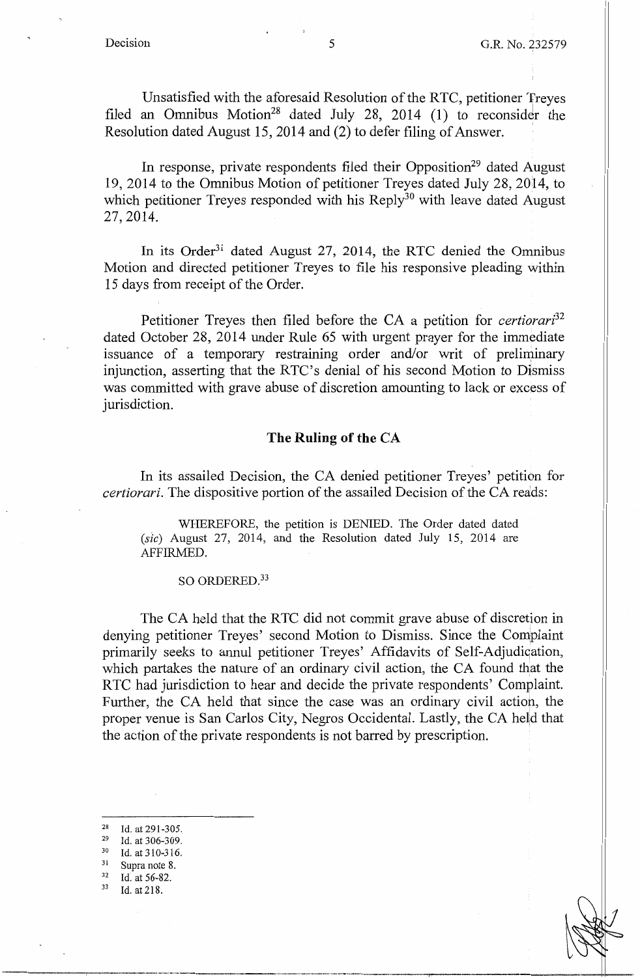Unsatisfied with the aforesaid Resolution of the RTC, petitioner Treyes filed an Omnibus Motion<sup>28</sup> dated July 28, 2014 (1) to reconsider the Resolution dated August 15, 2014 and (2) to defer filing of Answer.

In response, private respondents filed their Opposition<sup>29</sup> dated August 19, 2014 to the Omnibus Motion of petitioner Treyes dated July 28, 2014, to which petitioner Treyes responded with his Reply<sup>30</sup> with leave dated August 27, 2014.

In its Order<sup>31</sup> dated August 27, 2014, the RTC denied the Omnibus Motion and directed petitioner Treyes to file his responsive pleading within 15 days from receipt of the Order.

Petitioner Treyes then filed before the CA a petition for *certiorari32*  dated October 28, 2014 under Rule 65 with urgent prayer for the immediate issuance of a temporary restraining order and/or writ of preliminary injunction, asserting that the RTC's denial of his second Motion to Dismiss was committed with grave abuse of discretion amounting to lack or excess of jurisdiction.

## **The Ruling of the CA**

In its assailed Decision, the CA denied petitioner Treyes' petition for *certiorari.* The dispositive portion of the assailed Decision of the CA reads:

WHEREFORE, the petition is DENIED. The Order dated dated  $(size)$  August 27, 2014, and the Resolution dated July 15, 2014 are AFFIRMED.

#### SO ORDERED.<sup>33</sup>

The CA held that the RTC did not commit grave abuse of discretion in denying petitioner Treyes' second Motion to Dismiss. Since the Complaint primarily seeks to annul petitioner Treyes' Affidavits of Self-Adjudiqation, which partakes the nature of an ordinary civil action, the CA found that the RTC had jurisdiction to hear and decide the private respondents' Complaint. Further, the CA held that since the case was an ordinary civil actiop, the proper venue is San Carlos City, Negros Occidental. Lastly, the CA held that the action of the private respondents is not barred by prescription.

- 
- 
- 
- 

<sup>28</sup> Id. at 291-305.<br>
<sup>29</sup> Id. at 306-309.<br>
<sup>30</sup> Id. at 310-316.<br>
<sup>31</sup> Supra note 8.<br>
<sup>32</sup> Id. at 56-82.<br>
<sup>33</sup> Id. at 218.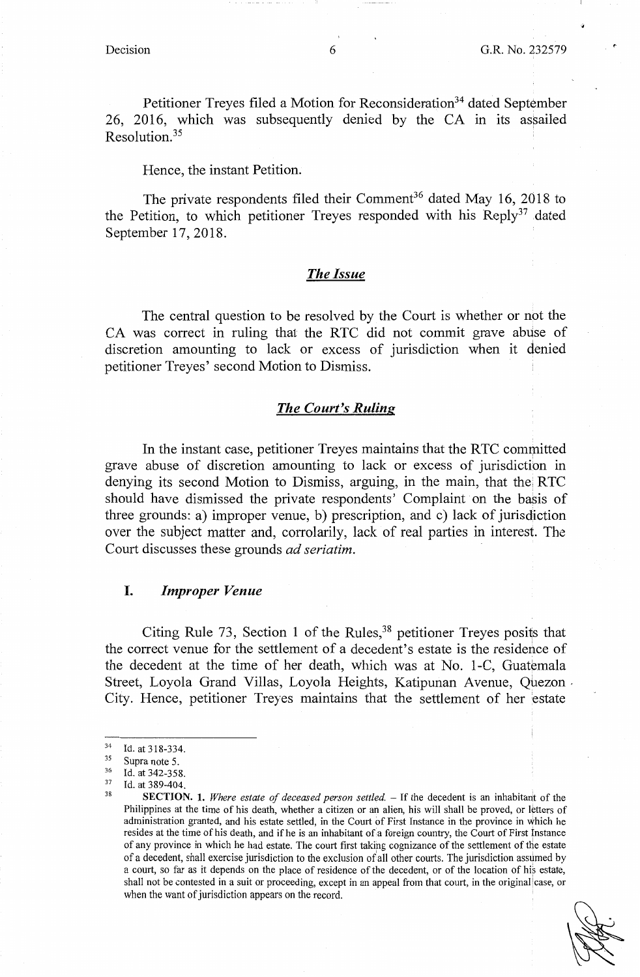Petitioner Treyes filed a Motion for Reconsideration<sup>34</sup> dated September 26, 2016, which was subsequently denied by the CA in its assailed  $Resolution<sup>35</sup>$ 

Hence, the instant Petition.

The private respondents filed their Comment<sup>36</sup> dated May 16, 2018 to the Petition, to which petitioner Treyes responded with his Reply<sup>37</sup> dated September 17, 2018.

#### *The Issue*

The central question to be resolved by the Court is whether or not the CA was correct in ruling that the RTC did not commit grave abuse of discretion amounting to lack or excess of jurisdiction when it denied petitioner Treyes' second Motion to Dismiss.

#### *The Court's Ruling*

In the instant case, petitioner Treyes maintains that the RTC committed grave abuse of discretion amounting to lack or excess of jurisdiction in denying its second Motion to Dismiss, arguing, in the main, that the RTC should have dismissed the private respondents' Complaint on the basis of three grounds: a) improper venue, b) prescription, and c) lack of jurisdiction over the subject matter and, corrolarily, lack of real parties in interest. The Court discusses these grounds *ad seriatim.* 

### I. *Improper Venue*

Citing Rule 73, Section 1 of the Rules,<sup>38</sup> petitioner Treyes posits that the correct venue for the settlement of a decedent's estate is the residence of the decedent at the time of her death, which was at No. 1-C, Guatemala Street, Loyola Grand Villas, Loyola Heights, Katipunan Avenue, Quezon , City. Hence, petitioner Treyes maintains that the settlement of her estate

 $^{34}$  Id. at 318-334.

<sup>&</sup>lt;sup>35</sup> Supra note 5.<br><sup>36</sup> Id. at 342-358.<br><sup>37</sup> Id. at 389-404.<br>**SECTION. 1.** *Where estate of deceased person settled.* – If the decedent is an inhabitant of the Philippines at the time of his death, whether a citizen or an alien, his will shall be proved, or letters of administration granted, and his estate settled, in the Court of First Instance in the province in which he resides at the time of his death, and if he is an inhabitant of a foreign country, the Court of First Instance of any province in which he had estate. The court first taking cognizance of the settlement of the estate of a decedent, shall exercise jurisdiction to the exclusion of all other courts. The jurisdiction assumed by a court, so far as it depends on the place of residence of the decedent, or of the location of his estate, shall not be contested in a suit or proceeding, except in an appeal from that court, in the original case, or when the want of jurisdiction appears on the record.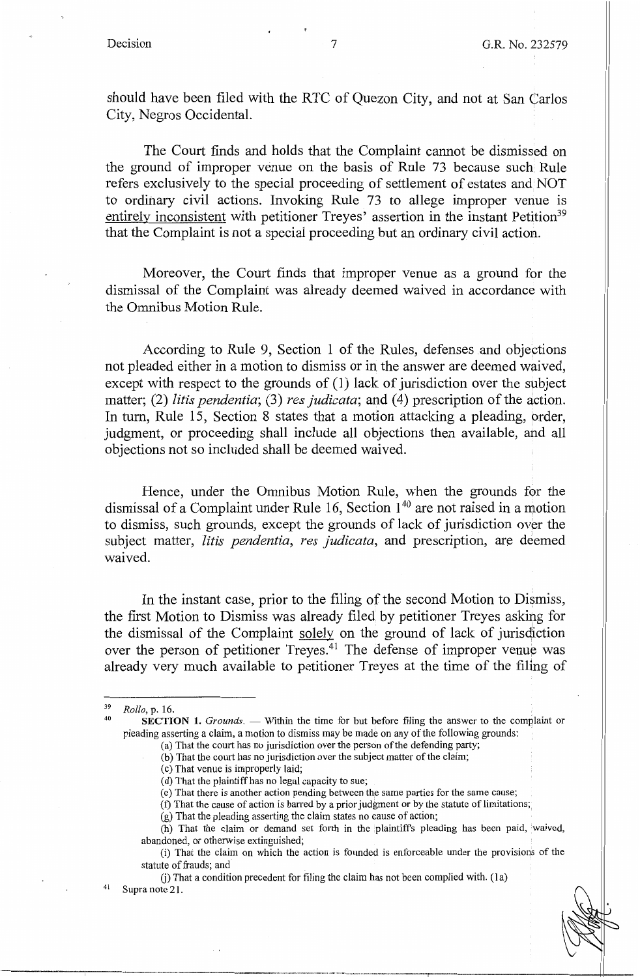should have been filed with the RTC of Quezon City, and not at San Carlos City, Negros Occidental.

The Court finds and holds that the Complaint cannot be dismissed on the ground of improper venue on the basis of Rule 73 because such Rule refers exclusively to the special proceeding of settlement of estates and NOT to ordinary civil actions. Invoking Rule 73 to allege improper venue is entirely inconsistent with petitioner Treyes' assertion in the instant Petition<sup>39</sup> that the Complaint is not a special proceeding but an ordinary civil action.

Moreover, the Court finds that improper venue as a ground for the dismissal of the Complaint was already deemed waived in accordance with the Omnibus Motion Rule.

According to Rule 9, Section 1 of the Rules, defenses and objections not pleaded either in a motion to dismiss or in the answer are deemed waived, except with respect to the grounds of (1) lack of jurisdiction over the subject matter; (2) *litis pendentia*; (3) *res judicata*; and (4) prescription of the action. In tum, Rule 15, Section 8 states that a motion attacking a pleading, order, judgment, or proceeding shall include all objections then available, and all objections not so included shall be deemed waived.

Hence, under the Omnibus Motion Rule, when the grounds for the dismissal of a Complaint under Rule 16, Section 140 are not raised in a motion to dismiss, such grounds, except the grounds of lack of jurisdiction over the subject matter, *litis pendentia, res judicata,* and prescription, are deemed waived.

In the instant case, prior to the filing of the second Motion to Dismiss, the first Motion to Dismiss was already filed by petitioner Treyes asking for the dismissal of the Complaint solely on the ground of lack of jurisdiction over the person of petitioner Treyes.<sup>41</sup> The defense of improper venue was already very much available to petitioner Treyes at the time of the filing of

<sup>39</sup>*Rollo,* p. 16. 40 **SECTION 1.** *Grounds.* - Within the time for but before filing the answer to the complaint or pleading asserting a claim, a motion to dismiss may be made on any of the following grounds: ·

<sup>(</sup>a) That the court has no jurisdiction over the person of the defending party; (b) That the court has no jurisdiction over the subject matter of the claim;

<sup>(</sup>c) That venue is improperly laid;

<sup>(</sup>d) That the plaintiff has no legal capacity to sue;

<sup>(</sup>e) That there is another action pending between the same parties for the same cause;

<sup>(</sup>f) That the cause of action is barred by a prior judgment or by the statute of limitations;

<sup>(</sup>g) That the pleading asserting the claim states no cause of action;

<sup>(</sup>h) That the claim or demand set forth in the plaintiff's pleading has been paid, waived, abandoned, or otherwise extinguished;

<sup>(</sup>i) That the claim on which the action is founded is enforceable under the provisions of the statute of frauds; and

G) That a condition precedent for filing the claim has not been complied with. (la) Supra note 21.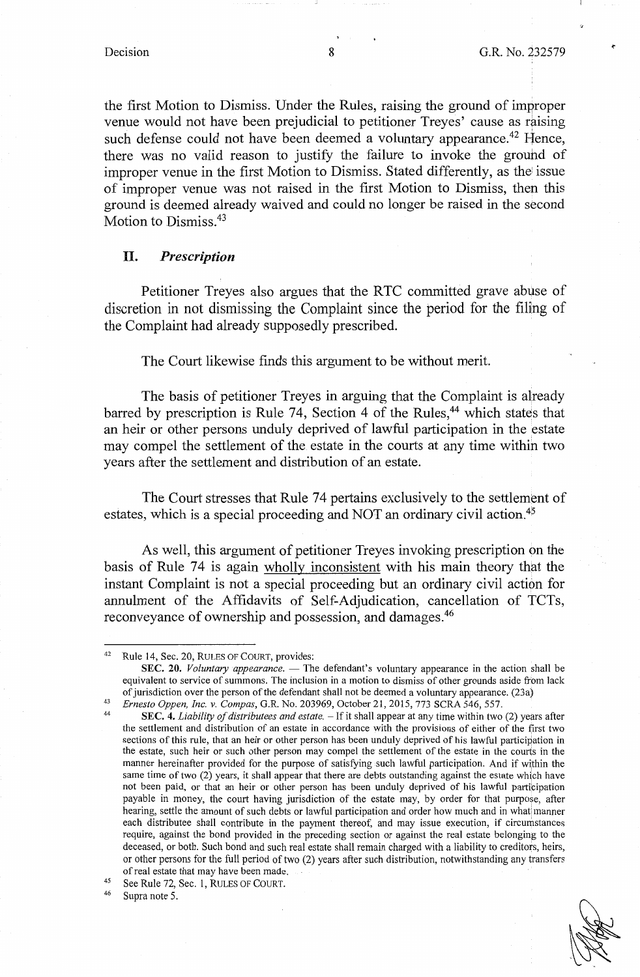the first Motion to Dismiss. Under the Rules, raising the ground of improper venue would not have been prejudicial to petitioner Treyes' cause as raising such defense could not have been deemed a voluntary appearance.<sup>42</sup> Hence, there was no valid reason to justify the failure to invoke the ground of improper venue in the first Motion to Dismiss. Stated differently, as the issue of improper venue was not raised in the first Motion to Dismiss, then this ground is deemed already waived and could no longer be raised in the second Motion to Dismiss.<sup>43</sup>

#### II. *Prescription*

Petitioner Treyes also argues that the RTC committed grave abuse of discretion in not dismissing the Complaint since the period for the filing of the Complaint had already supposedly prescribed.

The Court likewise finds this argument to be without merit.

The basis of petitioner Treyes in arguing that the Complaint is already barred by prescription is Rule 74, Section 4 of the Rules, $44$  which states that an heir or other persons unduly deprived of lawful participation in the estate may compel the settlement of the estate in the courts at any time within two years after the settlement and distribution of an estate.

The Court stresses that Rule 74 pertains exclusively to the settlement of estates, which is a special proceeding and NOT an ordinary civil action.<sup>45</sup>

As well, this argument of petitioner Treyes invoking prescription on the basis of Rule 74 is again wholly inconsistent with his main theory that the instant Complaint is not a special proceeding but an ordinary civil action for annulment of the Affidavits of Self-Adjudication, cancellation of TCTs, reconveyance of ownership and possession, and damages.<sup>46</sup>

Supra note 5.

<sup>42</sup> Rule 14, Sec. 20, RULES OF COURT, provides:

**SEC. 20.** *Voluntary appearance.* — The defendant's voluntary appearance in the action shall be equivalent to service of summons. The inclusion in a motion to dismiss of other grounds aside from lack of jurisdiction over the person of the defendant shall not be deemed a voluntary appearance. (23a)

<sup>&</sup>lt;sup>43</sup> *Ernesto Oppen, Inc. v. Compas, G.R. No.* 203969, October 21, 2015, 773 SCRA 546, 557.<br><sup>44</sup> SEC. 4. *Liability of distributees and estate.* – If it shall appear at any time within two (2) years after

the settlement and distribution of an estate in accordance with the provisions of either of the first two sections of this rule, that an heir or other person has been unduly deprived of his lawful participation in the estate, such heir or such other person may compel the settlement of the estate in the courts in the manner hereinafter provided for the purpose of satisfying such lawful participation. And if within the same time of two (2) years, it shall appear that there are debts outstanding against the estate which have not been paid, or that an heir or other person has been unduly deprived of his lawful participation payable in money, the court having jurisdiction of the estate may, by order for that purpose, after hearing, settle the amount of such debts or lawful participation and order how much and in what manner each distributee shall contribute in the payment thereof, and may issue execution, if circumstances require, against the bond provided in the preceding section or against the real estate belonging to the deceased, or both. Such bond and such real estate shall remain charged with a liability to creditors, heirs, or other persons for the full period of two (2) years after such distribution, notwithstanding any transfers of real estate that may have been made.

<sup>45</sup> See Rule 72, Sec. 1, RULES OF COURT.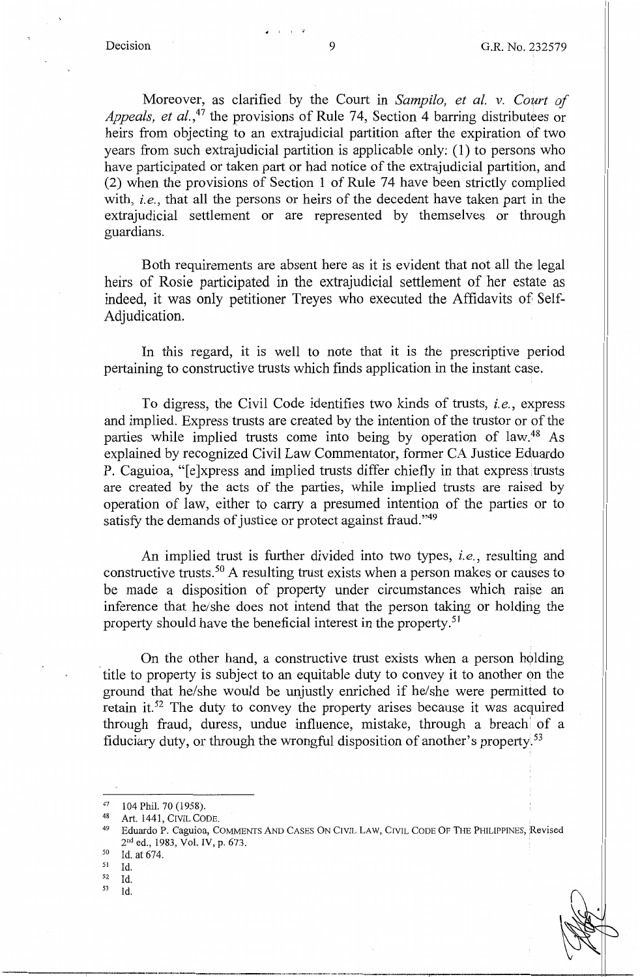Moreover, as clarified by the Court in *Sampilo, et al. v. Court of Appeals, et al.,47* the provisions of Rule 74, Section 4 barring distributees or heirs from objecting to an extrajudicial partition after the expiration of two years from such extrajudicial partition is applicable only:  $(1)$  to persons who have participated or taken part or had notice of the extrajudicial partition, and (2) when the provisions of Section 1 of Rule 74 have been strictly complied with, *i.e.,* that all the persons or heirs of the decedent have taken part in the extrajudicial settlement or are represented by themselves or through guardians.

Both requirements are absent here as it is evident that not all the legal heirs of Rosie participated in the extrajudicial settlement of her estate as indeed, it was only petitioner Treyes who executed the Affidavits of Self-Adjudication.

In this regard, it is well to note that it is the prescriptive period pertaining to constructive trusts which finds application in the instant case.

To digress, the Civil Code identifies two kinds of trusts, *i.e.,* express and implied. Express trusts are created by the intention of the trustor or of the parties while implied trusts come into being by operation of law.<sup>48</sup> As explained by recognized Civil Law Commentator, fonner CA Justice Eduardo P. Caguioa, "[e]xpress and implied trusts differ chiefly in that express trusts are created by the acts of the parties, while implied trusts are raised by operation of law, either to carry a presumed intention of the parties or to satisfy the demands of justice or protect against fraud."<sup>49</sup>

An implied trust is further divided into two types, *i.e.,* resulting and constructive trusts. 50 A resulting trust exists when a person makes or causes to be made a disposition of property under circumstances which raise an inference that he/she does not intend that the person taking or holding the property should have the beneficial interest in the property. <sup>51</sup>

On the other hand, a constructive trust exists when a person holding title to property is subject to an equitable duty to convey it to another on the ground that he/she would be unjustly enriched if he/she were permitted to retain it.<sup>52</sup> The duty to convey the property arises because it was acquired through fraud, duress, undue influence, mistake, through a breach' of a fiduciary duty, or through the wrongful disposition of another's property.<sup>53</sup>

53 Id.

. ' '

<sup>47 104</sup> Phil. 70 (1958).

<sup>48</sup> Art. 1441, CIVIL CODE.<br>49 Eduardo P. Caguioa, COMMENTS AND CASES ON CIVIL LAW, CIVIL CODE OF THE PHILIPPINES, Revised  $2<sup>nd</sup>$  ed., 1983, Vol. IV, p. 673.<br><sup>50</sup> Id. at 674.<br><sup>51</sup> Id.

Id.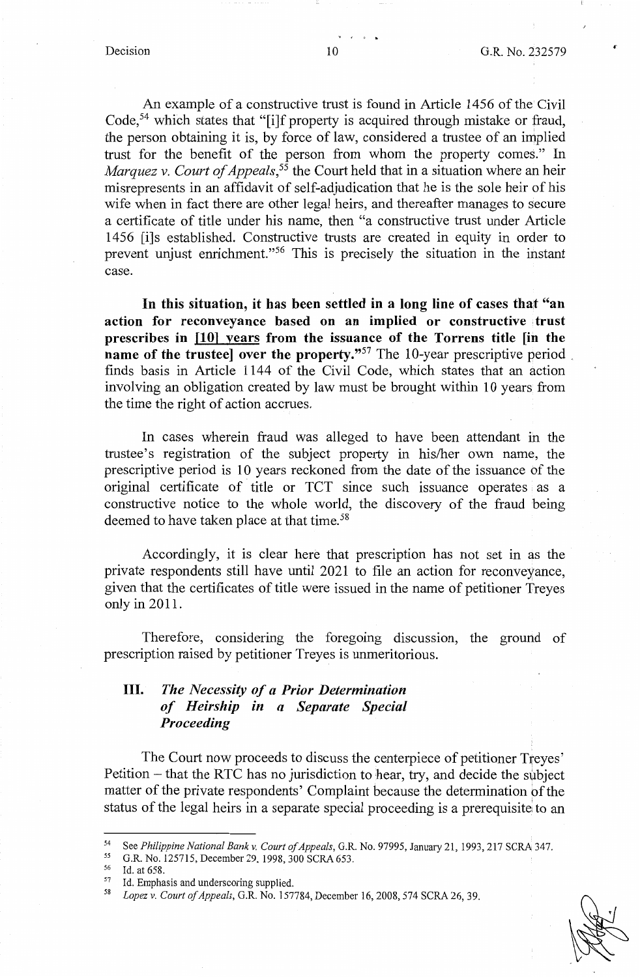An example of a constructive trust is found in Article 1456 of the Civil Code,<sup>54</sup> which states that "[i]f property is acquired through mistake or fraud, the person obtaining it is, by force of law, considered a trustee of an implied trust for the benefit of the person from whom the property comes." In *Marquez v. Court of Appeals*,<sup>55</sup> the Court held that in a situation where an heir misrepresents in an affidavit of self-adjudication that he is the sole heir of his wife when in fact there are other legal heirs, and thereafter manages to secure a certificate of title under his name, then "a constructive trust under Article 1456 [i]s established. Constructive trusts are created in equity in order to prevent unjust enrichment."56 This is precisely the situation in the instant case.

**In this situation, it has been settled in a long line of cases that "an**  action for reconveyance based on an implied or constructive trust **prescribes in [10) years from the issuance of the Torrens title [in the name of the trusteel over the property."<sup>57</sup> The 10-year prescriptive period** finds basis in Article 1144 of the Civil Code, which states that an action involving an obligation created by law must be brought within 10 years from the time the right of action accrues.

In cases wherein fraud was alleged to have been attendant in the trustee's registration of the subject property in his/her own name, the prescriptive period is 10 years reckoned from the date of the issuance of the original certificate of title or TCT since such issuance operates as a constructive notice to the whole world, the discovery of the fraud being deemed to have taken place at that time.<sup>58</sup>

Accordingly, it is clear here that prescription has not set in as the private respondents still have until 2021 to file an action for reconveyance, given that the certificates of title were issued in the name of petitioner Treyes only in 2011.

Therefore, considering the foregoing discussion, the ground of prescription raised by petitioner Treyes is unmeritorious.

# III. *The Necessity of a Prior Determination of Heirship in a Separate Special Proceeding*

The Court now proceeds to discuss the centerpiece of petitioner Treyes' Petition – that the RTC has no jurisdiction to hear, try, and decide the subject matter of the private respondents' Complaint because the determination of the status of the legal heirs in a separate special proceeding is a prerequisite to an



<sup>54</sup> See *Philippine National Bank v. Court of Appeals*, G.R. No. 97995, January 21, 1993, 217 SCRA 347.<br>55 G.R. No. 125715, December 29, 1998, 300 SCRA 653.

<sup>&</sup>lt;sup>56</sup> Id. at 658.<br><sup>57</sup> Id. Empha.

Id. Emphasis and underscoring supplied.

<sup>58</sup>*Lopez v. Court of Appeals,* G.R. No. 157784, December 16, 2008, 574 SCRA 26, 39.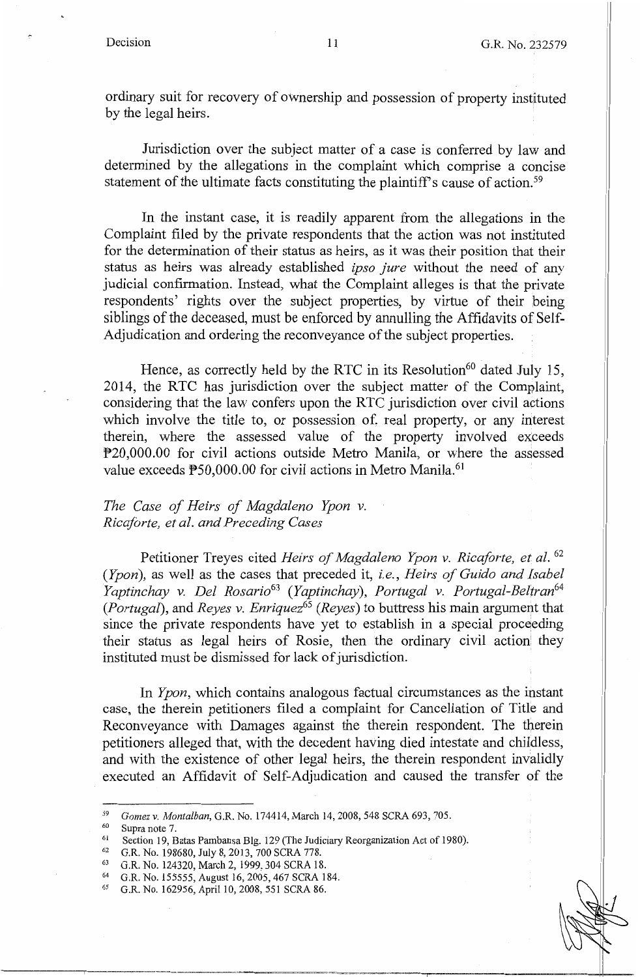ordinary suit for recovery of ownership and possession of property instituted by the legal heirs.

Jurisdiction over the subject matter of a case is conferred by law and determined by the allegations in the complaint which comprise a concise statement of the ultimate facts constituting the plaintiff's cause of action.<sup>59</sup>

In the instant case, it is readily apparent from the allegations in the Complaint filed by the private respondents that the action was not instituted for the determination of their status as heirs, as it was their position that their status as heirs was already established *ipso Jure* without the need of any judicial confirmation. Instead, what the Complaint alleges is that the private respondents' rights over the subject properties, by virtue of their being siblings of the deceased, must be enforced by annulling the Affidavits of Self-Adjudication and ordering the reconveyance of the subject properties.

Hence, as correctly held by the RTC in its Resolution<sup>60</sup> dated July 15, 2014, the RTC has jurisdiction over the subject matter of the Complaint, considering that the law confers upon the RTC jurisdiction over civil actions which involve the title to, or possession of, real property, or any interest therein, where the assessed value of the property involved exceeds P20,000.00 for civil actions outside Metro Manila, or where the assessed value exceeds P50,000.00 for civil actions in Metro Manila.<sup>61</sup>

## *The Case of Heirs of Magdaleno Ypon v. Ricaforte, et al. and Preceding Cases*

Petitioner Treyes cited *Heirs of Magdaleno Ypon* v. *Ricaforte, et al.* <sup>62</sup> *(Ypon),* as well as the cases that preceded it, *i.e., Heirs of Guido and Isabel Yaptinchay* v. *Del Rosario63 (Yaptinchay), Portugal* v. *Portugal-Beltran64 (Portugal),* and *Reyes* v. *Enriquez65 (Reyes)* to buttress his main argument that since the private respondents have yet to establish in a special proceeding their status as legal heirs of Rosie, then the ordinary civil action! they instituted must be dismissed for lack of jurisdiction.

In *Ypon,* which contains analogous factual circumstances as the instant case, the therein petitioners filed a complaint for Cancellation of Title and Reconveyance with Damages against the therein respondent. The therein petitioners alleged that, with the decedent having died intestate and childless, and with the existence of other legal heirs, the therein respondent invalidly executed an Affidavit of Self-Adjudication and caused the transfer of the

<sup>&</sup>lt;sup>59</sup> *Gomez v. Montalban*, G.R. No. 174414, March 14, 2008, 548 SCRA 693, 705.<br>
<sup>60</sup> Supra note 7.<br>
Section 19, Batas Pambansa Blg. 129 (The Judiciary Reorganization Act of 1980).<br>
<sup>61</sup> G.R. No. 198680, July 8, 2013, 700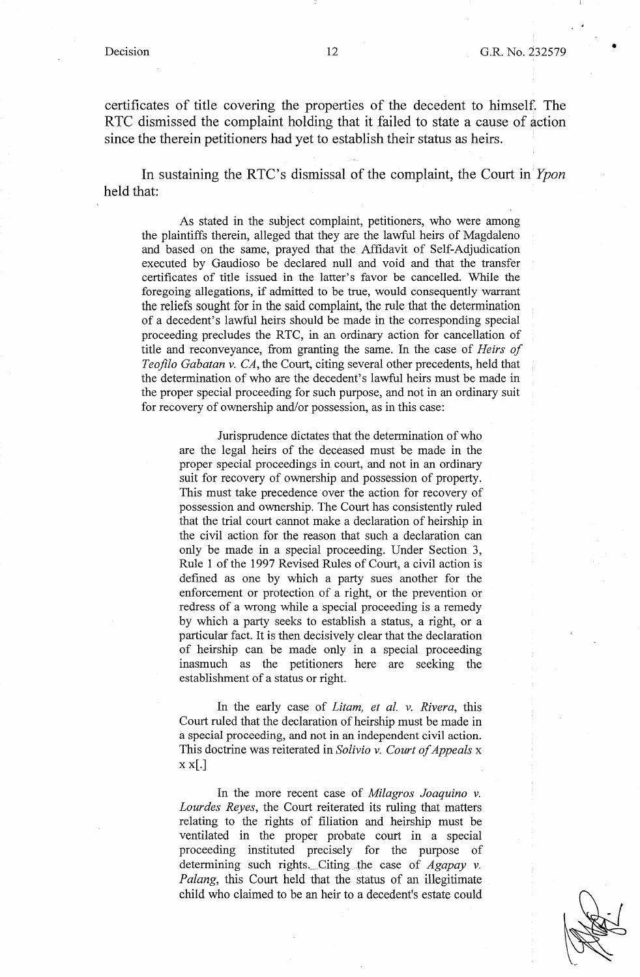•

certificates of title covering the properties of the decedent to himself. The RTC dismissed the complaint holding that it failed to state a cause of action since the therein petitioners had yet to establish their status as heirs.

In sustaining the RTC's dismissal of the complaint, the Court in *Ypon*  held that:

As stated in the subject complaint, petitioners, who were among the plaintiffs therein, alleged that they are the lawful heirs of Magdaleno and based on the same, prayed that the Affidavit of Self-Adjudication executed by Gaudioso be declared null and void and that the transfer certificates of title issued in the latter's favor be cancelled. While the foregoing allegations, if admitted to be true, would consequently warrant the reliefs sought for in the said complaint, the rule that the determination of a decedent's lawful heirs should be made in the corresponding special proceeding precludes the RTC, in an ordinary action for cancellation of title and reconveyance, from granting the same. In the case of *Heirs of Teofila Gabatan v. CA,* the Court, citing several other precedents, held that the determination of who are the decedent's lawful heirs must be made in the proper special proceeding for such purpose, and not in an ordinary suit for recovery of ownership and/or possession, as in this case:

Jurisprudence dictates that the determination of who are the legal heirs of the deceased must be made in the proper special proceedings in court, and not in an ordinary suit for recovery of ownership and possession of property. This must take precedence over the action for recovery of possession and ownership. The Court has consistently ruled that the trial court cannot make a declaration of heirship in the civil action for the reason that such a declaration can only be made in a special proceeding. Under Section 3, Rule 1 of the 1997 Revised Rules of Court, a civil action is defined as one by which a party sues another for the enforcement or protection of a right, or the prevention or redress of a wrong while a special proceeding is a remedy by which a party seeks to establish a status, a right, or a particular fact. It is then decisively clear that the declaration of heirship can be made only in a special proceeding inasmuch as the petitioners here are seeking the establishment of a status or right.

In the early case of *Litam, et al. v. Rivera,* this Court ruled that the declaration of heirship must be made in a special proceeding, and not in an independent civil action. This doctrine was reiterated in *Solivio v. Court of Appeals* x  $x \times$ [.]

In the more recent case of *Milagros Joaquina v. Lourdes Reyes,* the Court reiterated its ruling that matters relating to the rights of filiation and heirship must be ventilated in the proper probate court in a special proceeding instituted precisely for the purpose of determining such rights. Citing the case of *Agapay v. Palang,* this Court held that the status of an illegitimate child who claimed to be an heir to a decedent's estate could

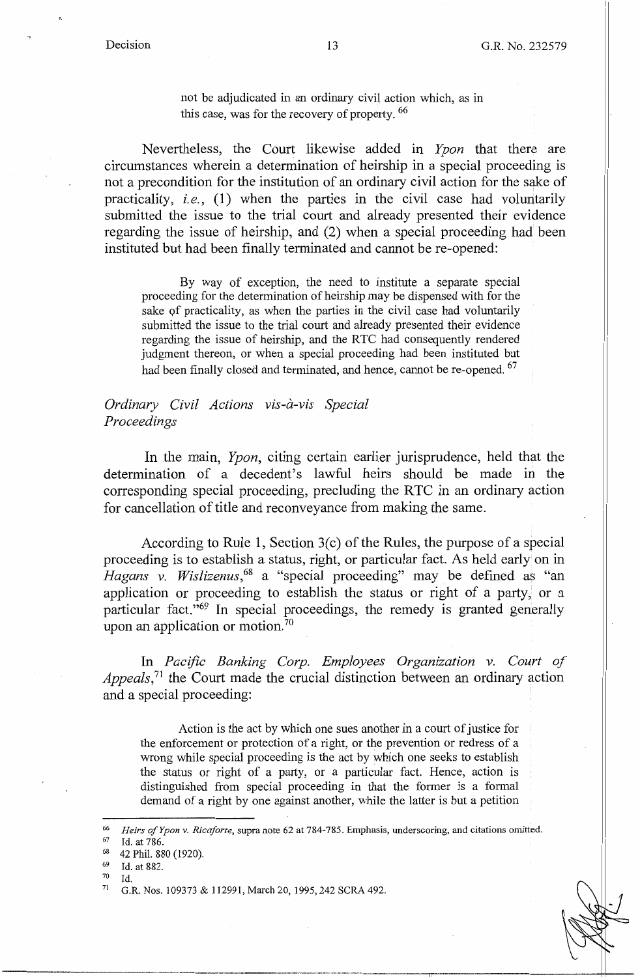not be adjudicated in an ordinary civil action which, as in this case, was for the recovery of property. <sup>66</sup>

Nevertheless, the Court likewise added in *Ypon* that there are circumstances wherein a determination of heirship in a special proceeding is not a precondition for the institution of an ordinary civil action for the sake of practicality, *i.e.,* (1) when the parties in the civil case had voluntarily submitted the issue to the trial court and already presented their evidence regarding the issue of heirship, and (2) when a special proceeding had been instituted but had been finally terminated and cannot be re-opened:

By way of exception, the need to institute a separate special proceeding for the determination of heirship may be dispensed with for the sake of practicality, as when the parties in the civil case had voluntarily submitted the issue to the trial court and already presented their evidence regarding the issue of heirship, and the RTC had consequently rendered judgment thereon, or when a special proceeding had been instituted but had been finally closed and terminated, and hence, cannot be re-opened. <sup>67</sup>

## *Ordinary Civil Actions vis-a-vis Special Proceedings*

In the main, *Ypon,* citing certain earlier jurisprudence, held that the determination of a decedent's lawful heirs should be made in the corresponding special proceeding, precluding the RTC in an ordinary action for cancellation of title and reconveyance from making the same.

According to Rule 1, Section 3(c) of the Rules, the purpose of a special proceeding is to establish a status, right, or particular fact. As held early on in *Hagans v. Wislizenus*, <sup>68</sup> a "special proceeding" may be defined as "an application or proceeding to establish the status or right of a party, or a particular fact."<sup>69</sup> In special proceedings, the remedy is granted generally upon an application or motion.<sup>70</sup>

In *Pacific Banking Corp. Employees Organization v. Court of Appeals*,<sup>71</sup> the Court made the crucial distinction between an ordinary action and a special proceeding:

Action is the act by which one sues another in a court of justice for the enforcement or protection of a right, or the prevention or redress of a wrong while special proceeding is the act by which one seeks to establish the status or right of a party, or a particular fact. Hence, action is distinguished from special proceeding in that the former is a formal demand of a right by one against another, while the latter is but a petition



<sup>66</sup> *Heirs of Ypon v. Ricaforte*, supra note 62 at 784-785. Emphasis, underscoring, and citations omitted.<br>
<sup>67</sup> Id. at 786.<br>
<sup>68</sup> 42 Phil. 880 (1920).<br>
<sup>69</sup> Id. at 882.

Id.

<sup>71</sup> G.R. Nos. 109373 & 112991, March 20, 1995, 242 SCRA 492.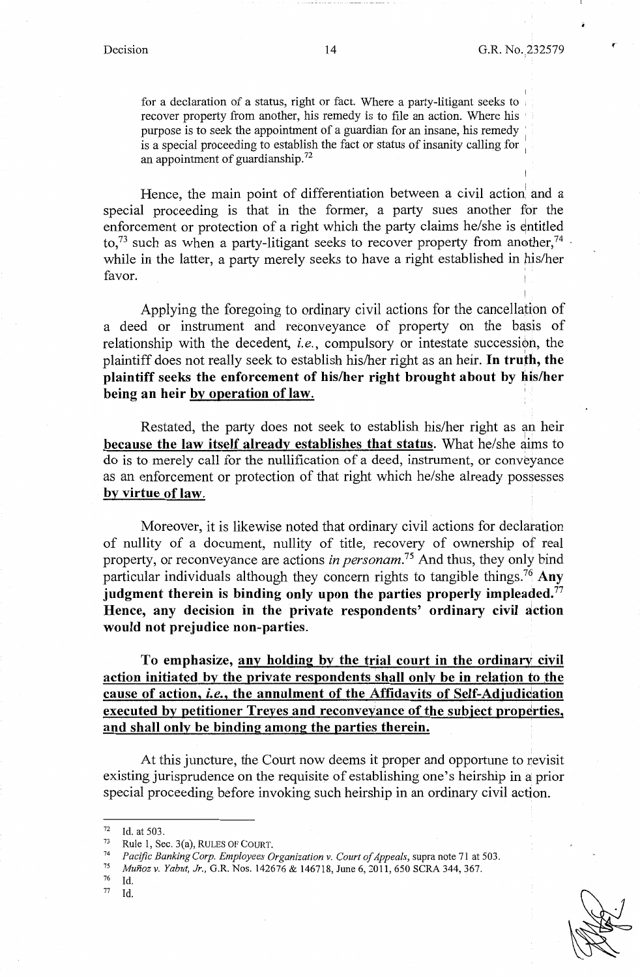I

I

for a declaration of a status, right or fact. Where a party-litigant seeks to recover property from another, his remedy is to file an action. Where his purpose is to seek the appointment of a guardian for an insane, his remedy ' is a special proceeding to establish the fact or status of insanity calling for : an appointment of guardianship.<sup>72</sup>

Hence, the main point of differentiation between a civil action and a special proceeding is that in the former, a party sues another for the enforcement or protection of a right which the party claims he/she is entitled to,<sup>73</sup> such as when a party-litigant seeks to recover property from another,<sup>74</sup>  $\cdot$ while in the latter, a party merely seeks to have a right established in his/her favor.

Applying the foregoing to ordinary civil actions for the cancellation of a deed or instrument and reconveyance of property on the basis of relationship with the decedent, *i.e.*, compulsory or intestate succession, the plaintiff does not really seek to establish his/her right as an heir. **In truth, the**  plaintiff seeks the enforcement of his/her right brought about by his/her **being an heir by operation of law.** 

Restated, the party does not seek to establish his/her right as an heir **because the law itself already establishes that status.** What he/she aims to do is to merely call for the nullification of a deed, instrument, or conveyance as an enforcement or protection of that right which he/she already possesses **by virtue of law.** 

Moreover, it is likewise noted that ordinary civil actions for declaration of nullity of a document, nullity of title, recovery of ownership of real property, or reconveyance are actions *in personam.75* And thus, they only bind particular individuals although they concern rights to tangible things.<sup>76</sup>**Any judgment therein is binding only upon the parties properly impleaded.77 Hence, any decision in the private respondents' ordinary civil action would not prejudice non-parties.** 

**To emphasize, any holding by the trial court in the ordinary civil action initiated by the private respondents shall only be in relation to the cause of action,** *i.e.,* **the annulment of the Affidavits of Self-Adiudidation executed by petitioner Treves and reconveyance of the subject properties, and shall only be binding among the parties therein.** 

At this juncture, the Court now deems it proper and opportune to revisit existing jurisprudence on the requisite of establishing one's heirship in a prior special proceeding before invoking such heirship in an ordinary civil action.

*11* Id.

<sup>72</sup> Id. at 503.<br><sup>73</sup> Rule 1, Sec. 3(a), RULES OF COURT.<br>*74 Pacific Banking Corp. Employees Organization v. Court of Appeals, supra note 71 at 503.*<br>*75 Merica v. Yabyt. In G.B. Nos. 142676 & 146718* June 6, 2011, 650 SCB A

<sup>75</sup>*Munoz v. Yabut, Jr.,* G.R. Nos. 142676 & 146718, June 6, 2011, 650 SCRA 344, 367.

 $Id$ .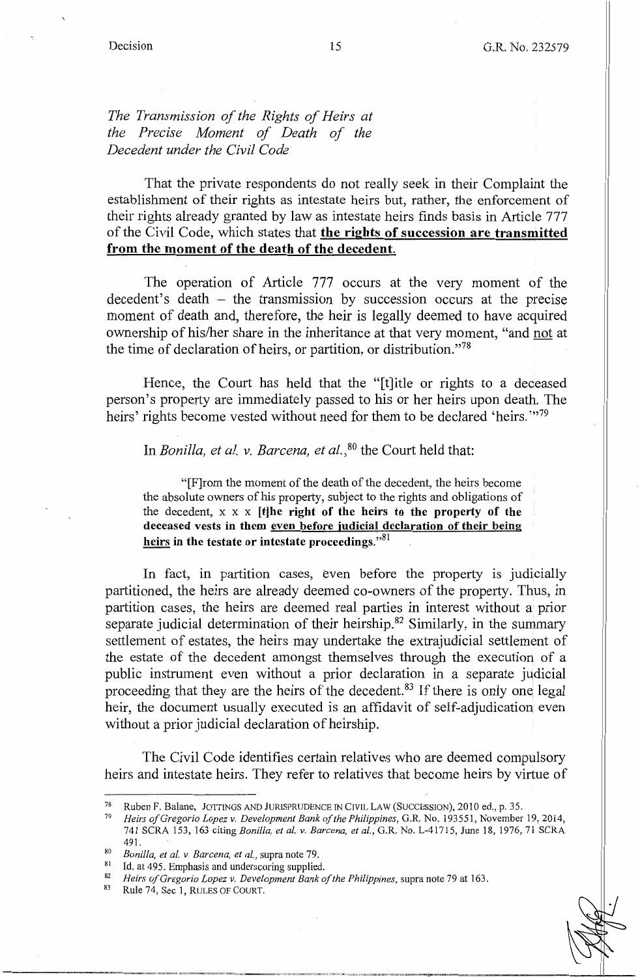*The Transmission of the Rights of Heirs at the Precise Moment of Death of the Decedent under the Civil Code* 

That the private respondents do not really seek in their Complaint the establishment of their rights as intestate heirs but, rather, the enforcement of their rights already granted by law as intestate heirs finds basis in Article 777 of the Civil Code, which states that **the rights of succession are transmitted from the moment of the death of the decedent.** 

The operation of Article 777 occurs at the very moment of the  $decoder's$  death – the transmission by succession occurs at the precise moment of death and, therefore, the heir is legally deemed to have acquired ownership of his/her share in the inheritance at that very moment, "and not at the time of declaration of heirs, or partition, or distribution."78

Hence, the Court has held that the "[t]itle or rights to a deceased person's property are immediately passed to his or her heirs upon death. The heirs' rights become vested without need for them to be declared 'heirs."<sup>79</sup>

In *Bonilla, et al. v. Barcena, et al.,* 80 the Court held that:

"[F]rom the moment of the death of the decedent, the heirs become the absolute owners of his property, subject to the rights and obligations of the decedent,  $x \times x$  **[t]he right of the heirs to the property of the deceased vests in them even before judicial declaration of their being heirs in the testate or intestate proceedings."<sup>81</sup>**

In fact, in partition cases, even before the property is judicially partitioned, the heirs are already deemed co-owners of the property. Thus, in partition cases, the heirs are deemed real parties in interest without a prior separate judicial determination of their heirship.<sup>82</sup> Similarly, in the summary settlement of estates, the heirs may undertake the extrajudicial settlement of the estate of the decedent amongst themselves through the execution of a public instrument even without a prior declaration in a separate judicial proceeding that they are the heirs of the decedent.<sup>83</sup> If there is only one legal heir, the document usually executed is an affidavit of self-adjudication even without a prior judicial declaration of heirship.

The Civil Code identifies certain relatives who are deemed compulsory heirs and intestate heirs. They refer to relatives that become heirs by virtue of

<sup>78</sup> Ruben F. Balane, JOTTINGS AND JURISPRUDENCE IN CIVIL LAW (SUCCESSION), 2010 ed., p. 35. 79 *Heirs of Gregorio Lopez v. Development Bank of the Philippines,* G.R. No. 193551, November 19, 2014,

<sup>741</sup> SCRA 153, 163 citing *Bonilla, et al. v. Barcena, et al.,* G.R. No. L-41715, June 18, 1976, 71 SCRA

<sup>491.&</sup>lt;br>
80 *Bonilla, et al.* v. *Barcena, et al.*, supra note 79.<br>
10. at 495. Emphasis and underscoring supplied.<br>
<sup>82</sup> *Heirs of Gregorio Lopez v. Development Bank of the Philippines, supra note 79 at 163.*<br>
<sup>82</sup> Rule 74,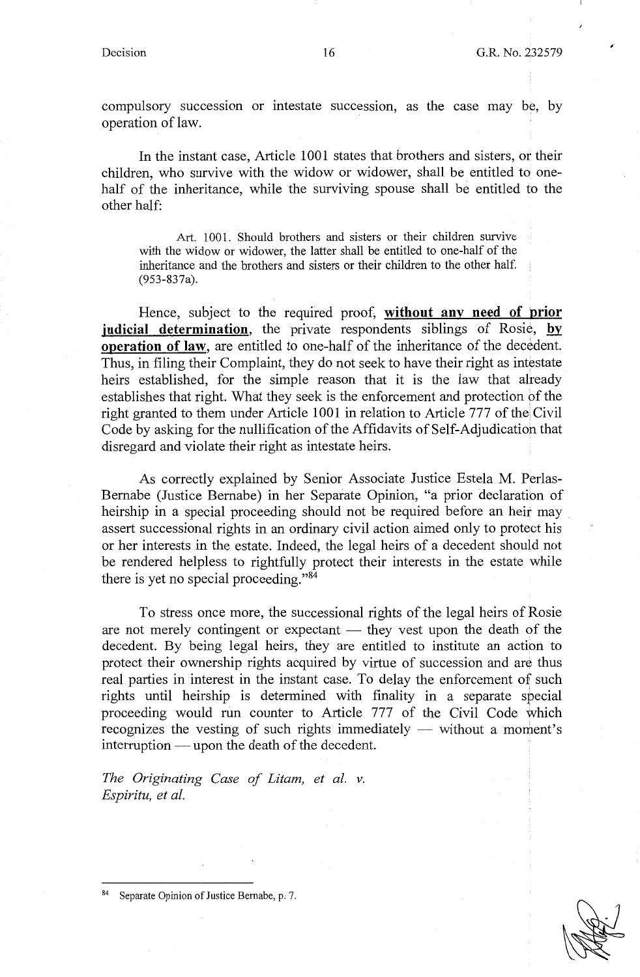*f* 

compulsory succession or intestate succession, as the case may be, by operation of law.

In the instant case, Article 1001 states that brothers and sisters, or their children, who survive with the widow or widower, shall be entitled to onehalf of the inheritance, while the surviving spouse shall be entitled to the other half:

Art. 1001. Should brothers and sisters or their children survive with the widow or widower, the latter shall be entitled to one-half of the inheritance and the brothers and sisters or their children to the other half. (953-837a).

Hence, subject to the required proof, **without any need of prior judicial determination**, the private respondents siblings of Rosie, by **operation of law,** are entitled to one-half of the inheritance of the decedent. Thus, in filing their Complaint, they do not seek to have their right as intestate heirs established, for the simple reason that it is the law that already establishes that right. What they seek is the enforcement and protection of the right granted to them under Article 1001 in relation to Article 777 of the Civil Code by asking for the nullification of the Affidavits of Self-Adjudication that disregard and violate their right as intestate heirs.

As correctly explained by Senior Associate Justice Estela M. Perlas-Bernabe (Justice Bernabe) in her Separate Opinion, "a prior declaration of heirship in a special proceeding should not be required before an heir may , assert successional rights in an ordinary civil action aimed only to protect his or her interests in the estate. Indeed, the legal heirs of a decedent should not be rendered helpless to rightfully protect their interests in the estate while there is yet no special proceeding. "<sup>84</sup>

To stress once more, the successional rights of the legal heirs of Rosie are not merely contingent or expectant  $-$  they vest upon the death of the decedent. By being legal heirs, they are entitled to institute an action to protect their ownership rights acquired by virtue of succession and are thus real parties in interest in the instant case. To delay the enforcement of such rights until heirship is determined with finality in a separate special proceeding would run counter to Article 777 of the Civil Code which recognizes the vesting of such rights immediately  $-$  without a moment's  $interruption$  - upon the death of the decedent.

*The Originating Case of Litam, et al. v. Espiritu, et al.* 



Separate Opinion of Justice Bernabe, p. 7.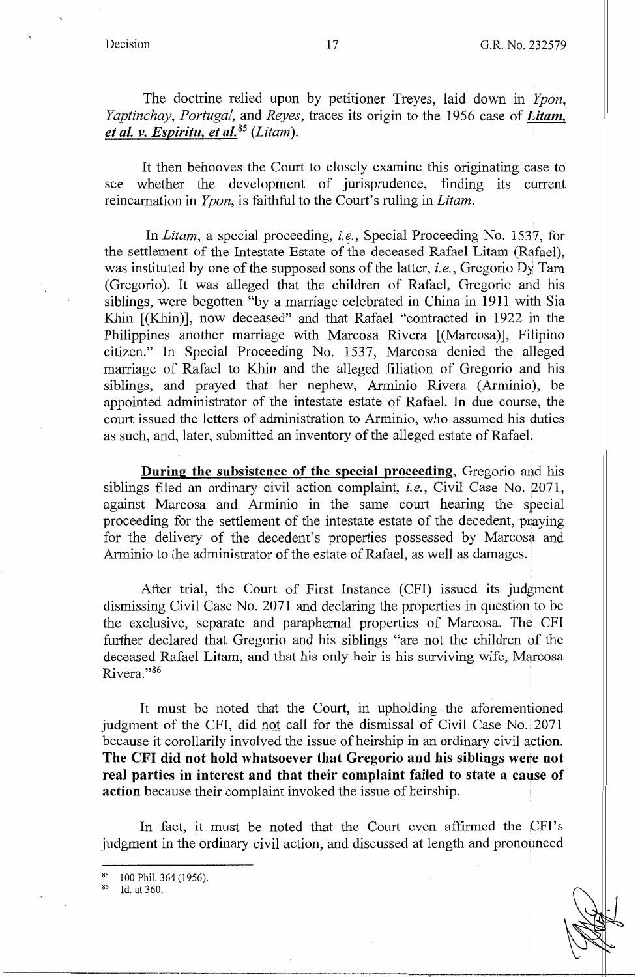The doctrine relied upon by petitioner Treyes, laid down in *Ypon, Yaptinchay, Portugal,* and *Reyes,* traces its origin to the 1956 case of *Litam, et al. v. Espiritu, et al.* <sup>85</sup>*(Litam* ). ·

It then behooves the Court to closely examine this originating case to see whether the development of jurisprudence, finding its current reincarnation in *Ypon,* is faithful to the Court's ruling in *Litam.* 

In *Litam,* a special proceeding, *i.e.,* Special Proceeding No. 1537, for the settlement of the Intestate Estate of the deceased Rafael Litam (Rafael), was instituted by one of the supposed sons of the latter, *i.e.,* Gregorio Dy Tam (Gregorio). It was alleged that the children of Rafael, Gregorio and his siblings, were begotten "by a marriage celebrated in China in 1911 with Sia Khin [(Khin)], now deceased" and that Rafael "contracted in 1922 in the Philippines another marriage with Marcosa Rivera [(Marcosa)], Filipino citizen." In Special Proceeding No. 1537, Marcosa denied the alleged marriage of Rafael to Khin and the alleged filiation of Gregorio and his siblings, and prayed that her nephew, Arminio Rivera (Arminio), be appointed administrator of the intestate estate of Rafael. In due course, the court issued the letters of administration to Arminio, who assumed his duties as such, and, later, submitted an inventory of the alleged estate of Rafael.

**During the subsistence of the special proceeding,** Gregorio and his siblings filed an ordinary civil action complaint, *i.e.,* Civil Case No. 2071, against Marcosa and Arminio in the same court hearing the special proceeding for the settlement of the intestate estate of the decedent, praying for the delivery of the decedent's properties possessed by Marcosa and Arminio to the administrator of the estate of Rafael, as well as damages.

After trial, the Court of First Instance (CPI) issued its judgment dismissing Civil Case No. 2071 and declaring the properties in question to be the exclusive, separate and paraphernal properties of Marcosa. The CPI further declared that Gregorio and his siblings "are not the children of the deceased Rafael Litam, and that his only heir is his surviving wife, Marcosa Rivera."86

It must be noted that the Court, in upholding the aforementioned judgment of the CFI, did not call for the dismissal of Civil Case No. 2071 because it corollarily involved the issue of heirship in an ordinary civil action. **The CFI did not hold whatsoever that Gregorio and his siblings were not real parties in interest and that their complaint failed to state a cause of action** because their complaint invoked the issue of heirship.

In fact, it must be noted that the Court even affirmed the CFI's judgment in the ordinary civil action, and discussed at length and pronounced

 $^{85}$  100 Phil. 364 (1956).<br> $^{86}$  Id. at 360.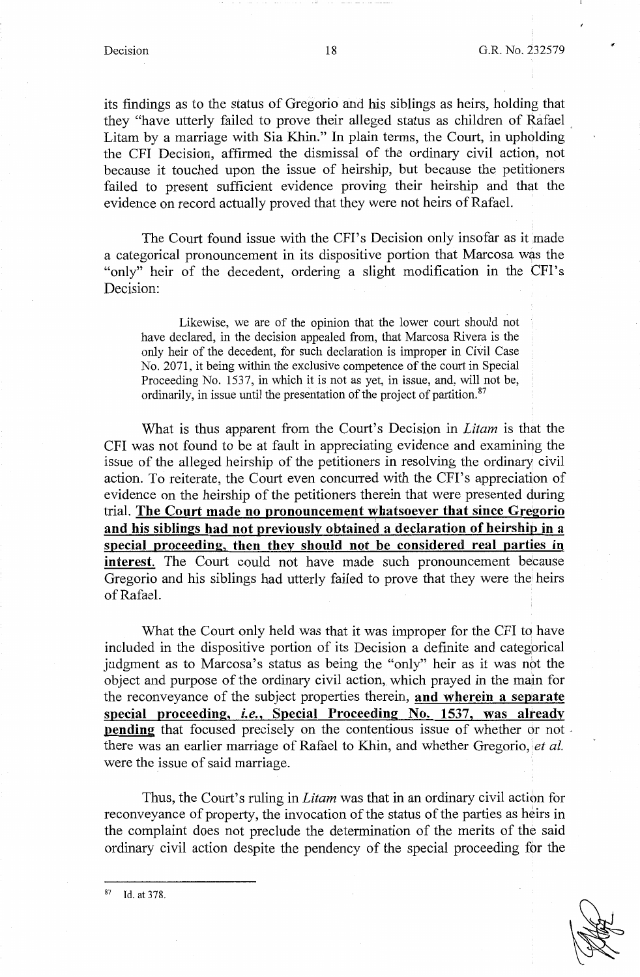its findings as to the status of Gregorio and his siblings as heirs, holding that they "have utterly failed to prove their alleged status as children of Rafael , Litam by a marriage with Sia Khin." In plain terms, the Court, in upholding the CFI Decision, affirmed the dismissal of the ordinary civil action, not because it touched upon the issue of heirship, but because the petitioners failed to present sufficient evidence proving their heirship and that the evidence on record actually proved that they were not heirs of Rafael.

The Court found issue with the CFI's Decision only insofar as it made a categorical pronouncement in its dispositive portion that Marcosa was the "only" heir of the decedent, ordering a slight modification in the CFI's Decision:

Likewise, we are of the opinion that the lower court should not have declared, in the decision appealed from, that Marcosa Rivera is the only heir of the decedent, for such declaration is improper in Civil Case No. 2071, it being within the exclusive competence of the court in Special Proceeding No. 1537, in which it is not as yet, in issue, and, will not be, ordinarily, in issue until the presentation of the project of partition.<sup>87</sup>

What is thus apparent from the Court's Decision in *Litam* is that the CPI was not found to be at fault in appreciating evidence and examining the issue of the alleged heirship of the petitioners in resolving the ordinary civil action. To reiterate, the Court even concurred with the CPI's appreciation of evidence on the heirship of the petitioners therein that were presented during trial. **The Court made no pronouncement whatsoever that since Gregorio and his siblings had not previously obtained a declaration of heirship in a special proceeding, then they should not be considered real parties in interest.** The Court could not have made such pronouncement because Gregorio and his siblings had utterly failed to prove that they were the heirs of Rafael.

What the Court only held was that it was improper for the CFI to have included in the dispositive portion of its Decision a definite and categorical judgment as to Marcosa's status as being the "only" heir as it was not the object and purpose of the ordinary civil action, which prayed in the main for the reconveyance of the subject properties therein, **and wherein a separate special proceeding,** *i.e.,* **Special Proceeding No. 1537, was already pending** that focused precisely on the contentious issue of whether or not. there was an earlier marriage of Rafael to Khin, and whether Gregorio, *et al.* were the issue of said marriage.

Thus, the Court's ruling in *Litam* was that in an ordinary civil action for reconveyance of property, the invocation of the status of the parties as heirs in the complaint does not preclude the determination of the merits of the said ordinary civil action despite the pendency of the special proceeding for the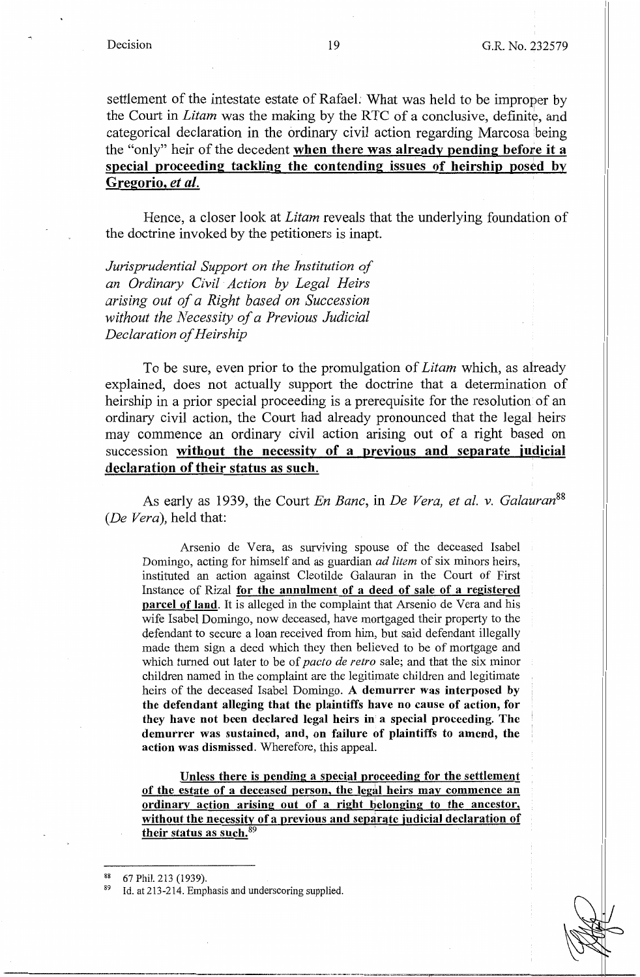settlement of the intestate estate of Rafael: What was held to be improper by the Court in *Litam* was the making by the RTC of a conclusive, definite, and categorical declaration in the ordinary civil action regarding Marcosa being the "only" heir of the decedent **when there was already pending before it a special proceeding tackling the contending issues of heirship posed by Gregorio,** *et al.* 

Hence, a closer look at *Litam* reveals that the underlying foundation of the doctrine invoked by the petitioners is inapt.

*Jurisprudential Support on the Institution of an Ordinary Civil Action by Legal Heirs arising out of a Right based on Succession without the Necessity of a Previous Judicial Declaration of Heirs hip* 

To be sure, even prior to the promulgation of *Litam* which, as already explained, does not actually support the doctrine that a determination of heirship in a prior special proceeding is a prerequisite for the resolution of an ordinary civil action, the Court had already pronounced that the legal heirs may commence an ordinary civil action arising out of a right based on succession **without the necessity of a previous and separate judicial declaration of their status as such.** 

As early as 1939, the Court *En Banc,* in *De Vera, et al. v. Galauran<sup>88</sup> (De Vera),* held that:

Arsenio de Vera, as surviving spouse of the deceased Isabel Domingo, acting for himself and as guardian *ad !item* of six minors heirs, instituted an action against Cleotilde Galauran in the Court of First Instance of Rizal **for the annulment of a deed of sale** of **a registered parcel of land.** It is alleged in the complaint that Arsenio de Vera and his wife Isabel Domingo, now deceased, have mortgaged their property to the defendant to secure a loan received from him, but said defendant illegally made them sign a deed which they then believed to be of mortgage and which turned out later to be of *pacto de retro* sale; and that the six minor children named in the complaint are the legitimate children and legitimate heirs of the deceased Isabel Domingo. **A demurrer was interposed by the defendant alleging that the plaintiffs have no cause of action, for they have not been declared legal heirs in a special proceeding. The demurrer was sustained, and, on failure of plaintiffs to amend, the action was dismissed.** Wherefore, this appeal.

**Unless there is pending a special proceeding for the settlement of the estate of a deceased person, the legal heirs may commence an ordinary action arising out of a right belonging to the ancestor, without the necessity of a previous and separate judicial declaration of**  their status as such.<sup>89</sup>

<sup>67</sup> Phil. 213 (1939).  $Id.$  at 213-214. Emphasis and underscoring supplied.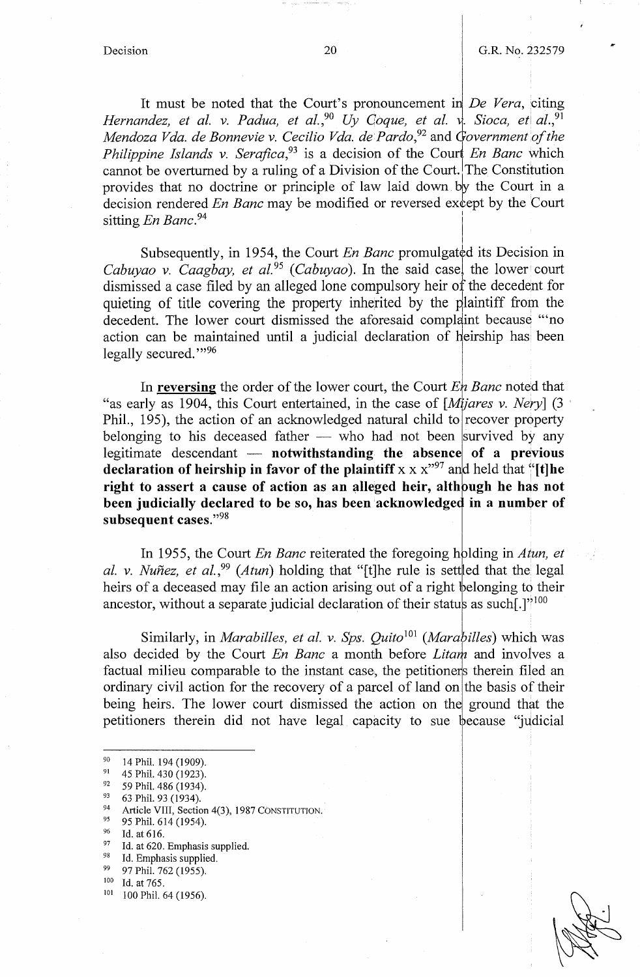I

It must be noted that the Court's pronouncement in *De Vera*, citing *Hernandez, et al. v. Padua, et al.,*<sup>90</sup> Uy Coque, et al. v. Sioca, et al.,<sup>91</sup> *Mendoza Vda. de Bonnevie v. Cecilio Vda. de Pardo*<sup>92</sup> and *Government of the Philippine Islands v. Serafica*,<sup>93</sup> is a decision of the Court *En Banc* which cannot be overturned by a ruling of a Division of the Court. The Constitution provides that no doctrine or principle of law laid down by the Court in a decision rendered *En Banc* may be modified or reversed except by the Court sitting *En Banc*.<sup>94</sup>

Subsequently, in 1954, the Court *En Banc* promulgated its Decision in *Cabuyao v. Caagbay, et al.*<sup>95</sup> (*Cabuyao*). In the said case, the lower court dismissed a case filed by an alleged lone compulsory heir of the decedent for quieting of title covering the property inherited by the plaintiff from the decedent. The lower court dismissed the aforesaid complaint because "'no dismissed a case filed by an alleged folle compulsory helf of the<br>quieting of title covering the property inherited by the plain<br>decedent. The lower court dismissed the aforesaid complaint<br>action can be maintained until a eirship has been legally secured."<sup>96</sup>

In **reversing** the order of the lower court, the Court En Banc noted that "as early as 1904, this Court entertained, in the case of *[Mijares v. Nery]* (3 Phil., 195), the action of an acknowledged natural child to recover property belonging to his deceased father  $-$  who had not been survived by any legitimate descendant — **notwithstanding the absence of a previous declaration of heirship in favor of the plaintiff**  $x \times x^{97}$  and held that  $\frac{1}{1}$ [t]he right to assert a cause of action as an alleged heir, although he has not been judicially declared to be so, has been acknowledged in a number of **subsequent cases."98** 

In 1955, the Court *En Banc* reiterated the foregoing holding in *Atun, et al. v. Nuñez, et al.*<sup>99</sup> (*Atun*) holding that "[t]he rule is sett|ed that the legal heirs of a deceased may file an action arising out of a right belonging to their ancestor, without a separate judicial declaration of their status as such [.]'<sup>100</sup>

Similarly, in *Marabilles, et al. v. Sps. Quito*<sup>101</sup> (*Marabilles*) which was also decided by the Court *En Banc* a month before *Litam* and involves a factual milieu comparable to the instant case, the petitioners therein filed an ordinary civil action for the recovery of a parcel of land on the basis of their being heirs. The lower court dismissed the action on the ground that the petitioners therein did not have legal capacity to sue because "judicial"

<sup>90 14</sup> Phil. 194 (1909).<br>
91 45 Phil. 430 (1923).<br>
92 59 Phil. 486 (1934).<br>
93 63 Phil. 93 (1934).<br>
94 Article VIII, Section 4(3), 1987 CONSTITUTION.<br>
95 Phil. 614 (1954).

<sup>96</sup> Id. at 616.<br>
97 Id. at 620. Emphasis supplied.<br>
98 97 Phil. 762 (1955).<br>
<sup>100</sup> Id. at 765.<br>
<sup>101</sup> 100 Phil. 64 (1956).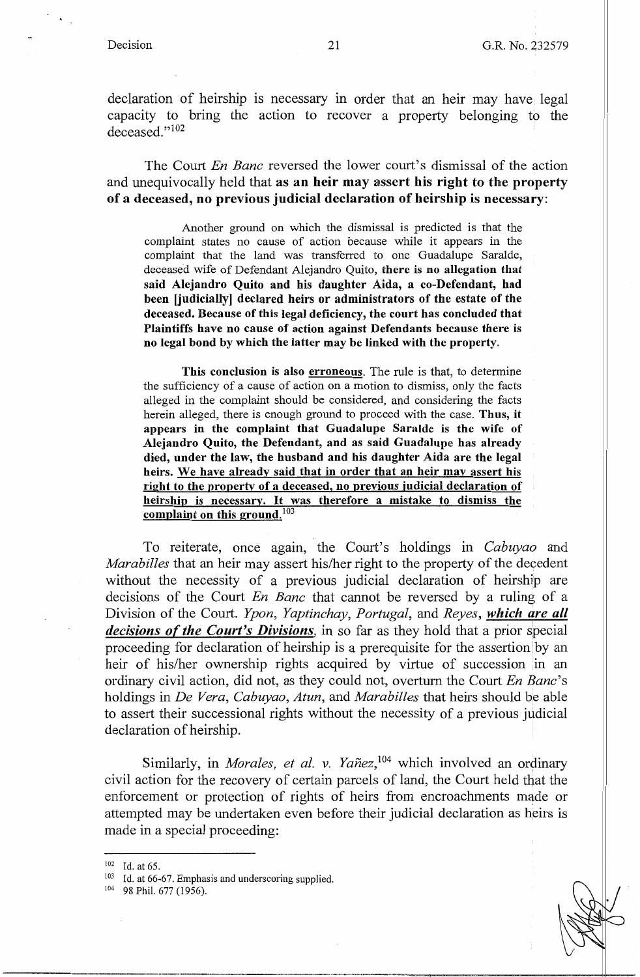declaration of heirship is necessary in order that an heir may have legal capacity to bring the action to recover a property belonging to the deceased."<sup>102</sup>

The Court *En Banc* reversed the lower court's dismissal of the action and unequivocally held that **as an heir may assert his right to the property of a deceased, no previous judicial declaration of heirship is necessary:** 

Another ground on which the dismissal is predicted is that the complaint states no cause of action because while it appears in the complaint that the land was transferred to one Guadalupe Saralde, deceased wife of Defendant Alejandro Quito, **there is no allegation that said Alejandro Quito and his daughter Aida, a co-Defendant, had been [judicially] declared heirs or administrators of the estate of the deceased. Because of this legal deficiency, the court has concluded that Plaintiffs have no cause of action against Defendants because there** is **no legal bond by which the latter may be linked with the property.** 

**This conclusion is also erroneous.** The rule is that, to determine the sufficiency of a cause of action on a motion to dismiss, only the facts alleged in the complaint should be considered, and considering the facts herein alleged, there is enough ground to proceed with the case. **Thus, it appears in the complaint that Guadalupe Saralde is the wife of Alejandro Quito, the Defendant, and as said Guadalupe has already died, under the law, the husband and his daughter Aida are the legal heirs. We have already said that in order that an heir may assert his right to the property of a deceased, no previous judicial declaration of heirship is necessary.** It **was therefore a mistake to dismiss the complaint on this ground.** <sup>103</sup>

To reiterate, once again, the Court's holdings in *Cabuyao* and *Marabilles* that an heir may assert his/her right to the property of the decedent without the necessity of a previous judicial declaration of heirship are decisions of the Court *En Banc* that cannot be reversed by a ruling of a Division of the Court. *Ypon, Yaptinchay, Portugal,* and *Reyes, which are all decisions of the Court's Divisions,* in so far as they hold that a prior special proceeding for declaration of heirship is a prerequisite for the assertion by an heir of his/her ownership rights acquired by virtue of succession in an ordinary civil action, did not, as they could not, overturn the Court *En Bane's*  holdings in *De Vera, Cabuyao, Atun,* and *Marabilles* that heirs should be able to assert their successional rights without the necessity of a previous judicial declaration of heirship.

Similarly, in *Morales, et al. v. Yañez*,<sup>104</sup> which involved an ordinary civil action for the recovery of certain parcels of land, the Court held that the enforcement or protection of rights of heirs from encroachments made or attempted may be undertaken even before their judicial declaration as heirs is made in a special proceeding:



<sup>102</sup> Id. at 65.

<sup>103</sup> Id. at 66-67. Emphasis and underscoring supplied.

<sup>104 98</sup> Phil. 677 (1956).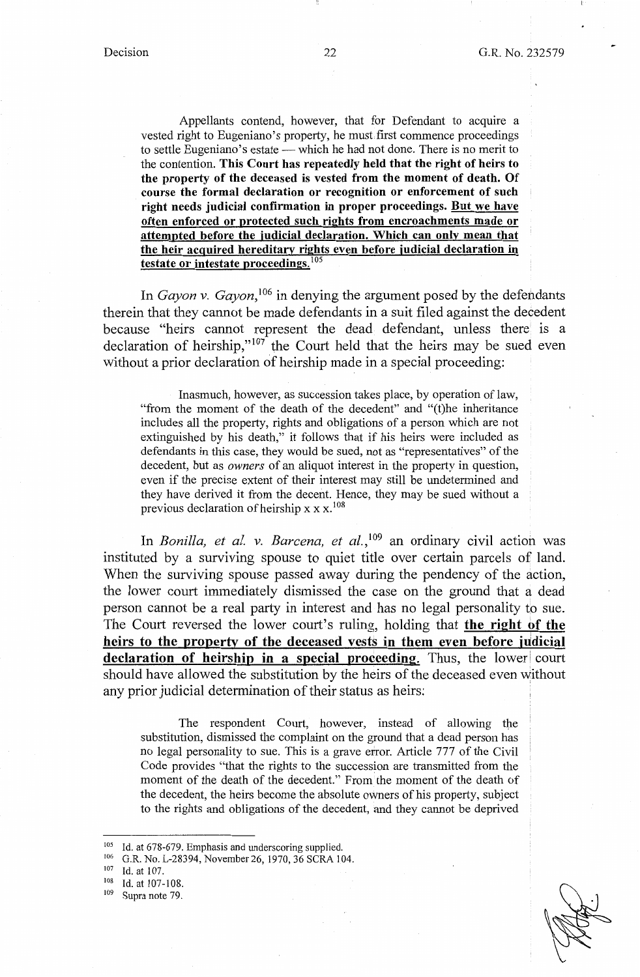Appellants contend, however, that for Defendant to acquire a vested right to Eugeniano's property, he must first commence proceedings to settle Eugeniano's estate — which he had not done. There is no merit to the contention. **This Court has repeatedly held that the right of heirs to the property of the deceased is vested from the moment of death. Of course the formal declaration or recognition or enforcement of such right needs judicial confirmation in proper proceedings. But we have often enforced or protected such rights from encroachments made or attempted before the judicial declaration. Which can only mean that the heir acquired hereditary rights even before judicial declaration in testate or intestate proceedings. <sup>105</sup>**

In *Gayon v. Gayon*,<sup>106</sup> in denying the argument posed by the defendants therein that they cannot be made defendants in a suit filed against the decedent because "heirs cannot represent the dead defendant, unless there is a declaration of heirship," $107$  the Court held that the heirs may be sued even without a prior declaration of heirship made in a special proceeding:

Inasmuch, however, as succession takes place, by operation of law, "from the moment of the death of the decedent" and "(t)he inheritance includes all the property, rights and obligations of a person which are not extinguished by his death," it follows that if his heirs were included as defendants in this case, they would be sued, not as "representatives" of the decedent, but as *owners* of an aliquot interest in the property in question, even if the precise extent of their interest may still be undetermined and they have derived it from the decent. Hence, they may be sued without a previous declaration of heirship x x x. <sup>108</sup>

In *Bonilla, et al. v. Barcena, et al.,* 109 an ordinary civil action was instituted by a surviving spouse to quiet title over certain parcels of land. When the surviving spouse passed away during the pendency of the action, the lower court immediately dismissed the case on the ground that a dead person cannot be a real party in interest and has no legal personality to sue. The Court reversed the lower court's ruling, holding that **the right of the**  heirs to the property of the deceased vests in them even before judicial **declaration of heirship in a special proceeding.** Thus, the lower court should have allowed the substitution by the heirs of the deceased even without any prior judicial determination of their status as heirs:

The respondent Court, however, instead of allowing the substitution, dismissed the complaint on the ground that a dead person has no legal personality to sue. This is a grave error. Article 777 of the Civil Code provides "that the rights to the succession are transmitted from the moment of the death of the decedent." From the moment of the death of the decedent, the heirs become the absolute owners of his property, subject to the rights and obligations of the decedent, and they cannot be deprived

<sup>105</sup> Id. at 678-679. Emphasis and underscoring supplied.<br>
106 G.R. No. L-28394, November 26, 1970, 36 SCRA 104.<br>
107 Id. at 107.<br>
108 Id. at 107-108.<br>
109 Supra note 79.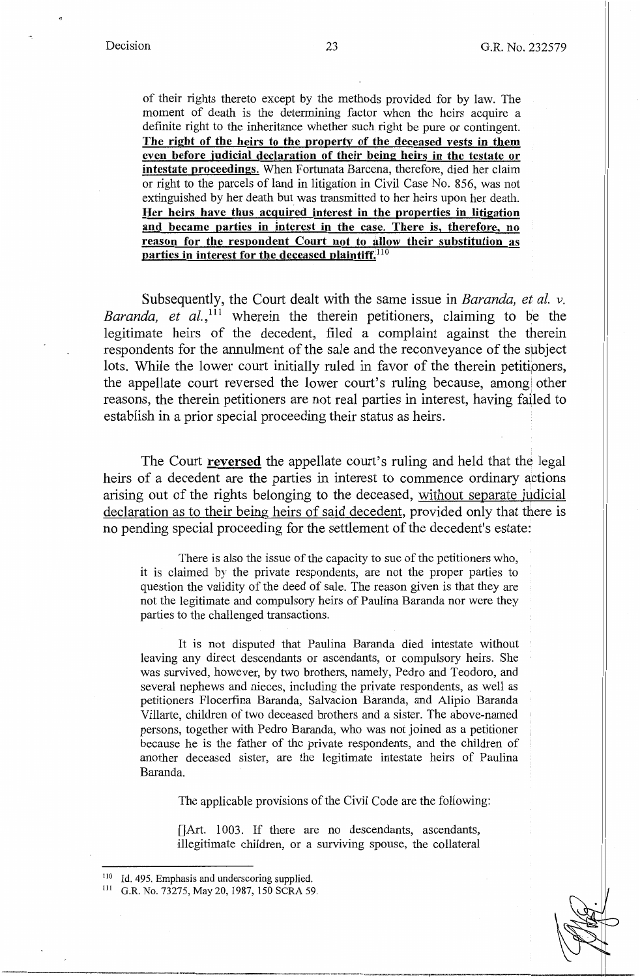of their rights thereto except by the methods provided for by law. The moment of death is the determining factor when the heirs acquire a definite right to the inheritance whether such right be pure or contingent. **The right of the heirs to the property of the deceased vests in them even before judicial declaration of their being heirs in the testate or intestate proceedings.** When Fortunata Barcena, therefore, died her claim or right to the parcels of land in litigation in Civil Case No. 856, was not extinguished by her death but was transmitted to her heirs upon her death. **Her heirs have thus acquired interest in the properties in litigation and became parties in interest in the case. There is, therefore, no reason for the respondent Court not to allow their substitution as parties in interest for the deceased plaintiff. <sup>110</sup>**

Subsequently, the Court dealt with the same issue in *Baranda*, et al. v. *Baranda, et al.,* 111 wherein the therein petitioners, claiming to be the legitimate heirs of the decedent, filed a complaint against the therein respondents for the annulment of the sale and the reconveyance of the subject lots. While the lower court initially ruled in favor of the therein petitioners, the appellate court reversed the lower court's ruling because, among other reasons, the therein petitioners are not real parties in interest, having failed to establish in a prior special proceeding their status as heirs.

The Court **reversed** the appellate court's ruling and held that the legal heirs of a decedent are the parties in interest to commence ordinary actions arising out of the rights belonging to the deceased, without separate judicial declaration as to their being heirs of said decedent, provided only that there is no pending special proceeding for the settlement of the decedent's estate:

There is also the issue of the capacity to sue of the petitioners who, it is claimed by the private respondents, are not the proper parties to question the validity of the deed of sale. The reason given is that they are not the legitimate and compulsory heirs of Paulina Baranda nor were they parties to the challenged transactions.

It is not disputed that Paulina Baranda died intestate without leaving any direct descendants or ascendants, or compulsory heirs. She was survived, however, by two brothers, namely, Pedro and Teodoro, and several nephews and nieces, including the private respondents, as well as petitioners Flocerfina Baranda, Salvacion Baranda, and Alipio Baranda Villarte, children of two deceased brothers and a sister. The above-named persons, together with Pedro Baranda, who was not joined as a petitioner because he is the father of the private respondents, and the children of another deceased sister, are the legitimate intestate heirs of Paulina Baranda.

The applicable provisions of the Civil Code are the following:

 $[]$ Art. 1003. If there are no descendants, ascendants, illegitimate children, or a surviving spouse, the collateral

<sup>110</sup> Id. 495. Emphasis and underscoring supplied. 111 G.R. No. 73275, May 20, 1987, 150 SCRA 59.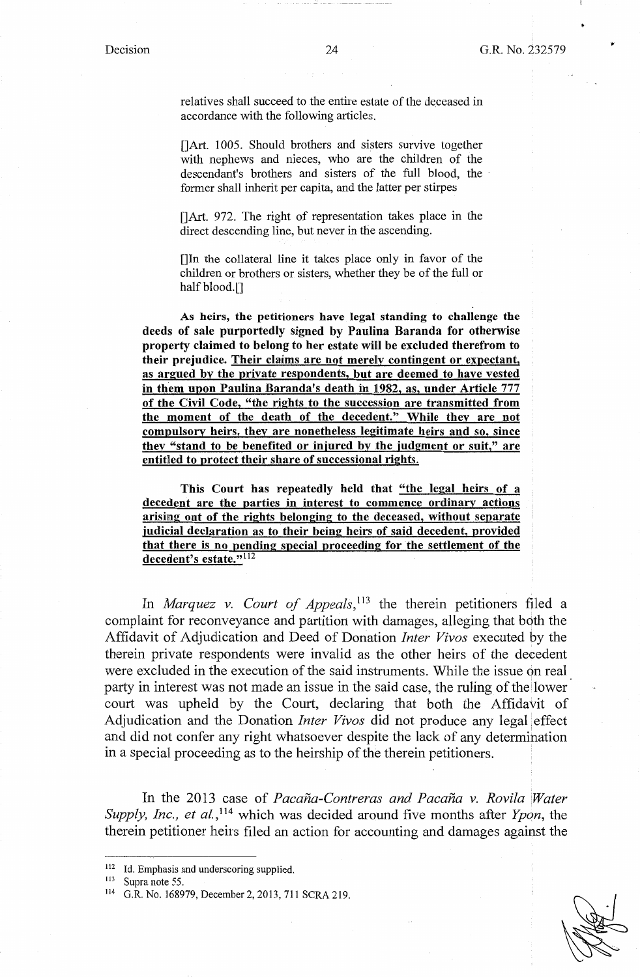relatives shall succeed to the entire estate of the deceased in accordance with the following articles.

[]Art. 1005. Should brothers and sisters survive together with nephews and nieces, who are the children of the descendant's brothers and sisters of the full blood, the former shall inherit per capita, and the latter per stirpes

[]Art. 972. The right of representation takes place in the direct descending line, but never in the ascending.

[]In the collateral line it takes place only in favor of the children or brothers or sisters, whether they be of the full or half blood.[]

**As heirs, the petitioners have legal standing to challenge the deeds of sale purportedly signed by Paulina Baranda for otherwise property claimed to belong to her estate wiH be excluded therefrom to**  their prejudice. Their claims are not merely contingent or expectant, **as argued by the private respondents, but are deemed to have vested in them upon Paulina Baranda's death in 1982, as, under Article** 777 **of the Civil Code, "the rights to the succession are transmitted from the moment of the death of the decedent." While they are not compulsory heirs, they are nonetheless legitimate heirs and so, since they "stand to be benefited or injured by the judgment or suit," are entitled to protect their share of successional rights.** 

**This Court has repeatedly held that "the legal heirs of a decedent are the parties in interest to commence ordinary actions arising out of the rights belonging to the deceased, without separate judicial declaration as to their being heirs of said decedent, provided that there is no pending special proceeding for the settlement of the decedent's estate." <sup>112</sup>**

In *Marquez v. Court of Appeals*,<sup>113</sup> the therein petitioners filed a complaint for reconveyance and partition with damages, alleging that both the Affidavit of Adjudication and Deed of Donation *Inter Vivas* executed by the therein private respondents were invalid as the other heirs of the decedent were excluded in the execution of the said instruments. While the issue on real party in interest was not made an issue in the said case, the ruling of the lower court was upheld by the Court, declaring that both the Affidavit of Adjudication and the Donation *Inter Vivas* did not produce any legal effect and did not confer any right whatsoever despite the lack of any determination in a special proceeding as to the heirship of the therein petitioners.

In the 2013 case of *Pacaña-Contreras and Pacaña v. Rovila Water Supply, Inc., et al.,* 114 which was decided around five months after *Ypon,* the therein petitioner heirs filed an action for accounting and damages against the

<sup>&</sup>lt;sup>112</sup> Id. Emphasis and underscoring supplied.<br><sup>113</sup> Supra note 55.

<sup>114</sup> G.R. No. 168979, December 2, 2013, 711 SCRA 219.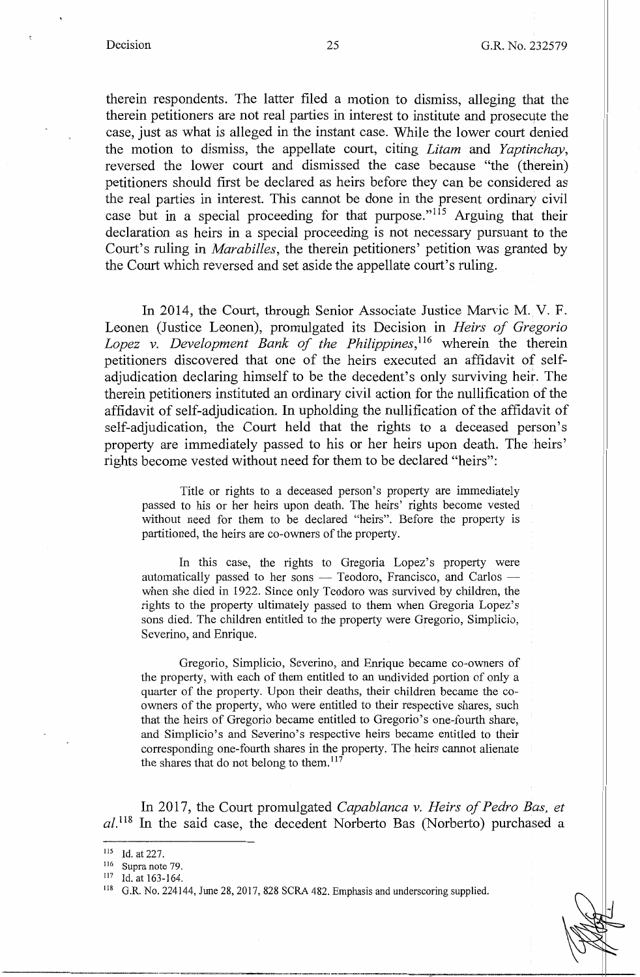therein respondents. The latter filed a motion to dismiss, alleging that the therein petitioners are not real parties in interest to institute and prosecute the case, just as what is alleged in the instant case. While the lower court denied the motion to dismiss, the appellate court, citing *Litam* and *Yaptinchay,*  reversed the lower court and dismissed the case because "the (therein) petitioners should first be declared as heirs before they can be considered as the real parties in interest. This cannot be done in the present ordinary civil case but in a special proceeding for that purpose."<sup>115</sup> Arguing that their declaration as heirs in a special proceeding is not necessary pursuant to the Court's ruling in *Marabilles,* the therein petitioners' petition was granted by the Court which reversed and set aside the appellate court's ruling.

In 2014, the Court, through Senior Associate Justice Marvic M. V. F. Leonen (Justice Leonen), promulgated its Decision in *Heirs of Gregorio Lopez v. Development Bank of the Philippines*, <sup>116</sup> wherein the therein petitioners discovered that one of the heirs executed an affidavit of selfadjudication declaring himself to be the decedent's only surviving heir. The therein petitioners instituted an ordinary civil action for the nullification of the affidavit of self-adjudication. In upholding the nullification of the affidavit of self-adjudication, the Court held that the rights to a deceased person's property are immediately passed to his or her heirs upon death. The heirs' rights become vested without need for them to be declared "heirs":

Title or rights to a deceased person's property are immediately passed to his or her heirs upon death. The heirs' rights become vested without need for them to be declared "heirs". Before the property is partitioned, the heirs are co-owners of the property.

In this case, the rights to Gregoria Lopez's property were automatically passed to her sons  $-$  Teodoro, Francisco, and Carlos  $$ when she died in 1922. Since only Teodoro was survived by children, the rights to the property ultimately passed to them when Gregoria Lopez's sons died. The children entitled to the property were Gregorio, Simplicio, Severino, and Enrique.

Gregorio, Simplicio, Severino, and Enrique became co-owners of the property, with each of them entitled to an undivided portion of only a quarter of the property. Upon their deaths, their children became the coowners of the property, who were entitled to their respective shares, such that the heirs of Gregorio became entitled to Gregorio's one-fourth share, and Simplicio's and Severino's respective heirs became entitled to their corresponding one-fourth shares in the property. The heirs cannot alienate the shares that do not belong to them.  $117$ 

In 2017, the Court promulgated *Capablanca v. Heirs of Pedro Bas, et*   $al.^{118}$  In the said case, the decedent Norberto Bas (Norberto) purchased a

<sup>115</sup> Id. at 227.<br>
116 Supra note 79.<br>
117 Id. at 163-164.<br>
118 G.R. No. 224144, June 28, 2017, 828 SCRA 482. Emphasis and underscoring supplied.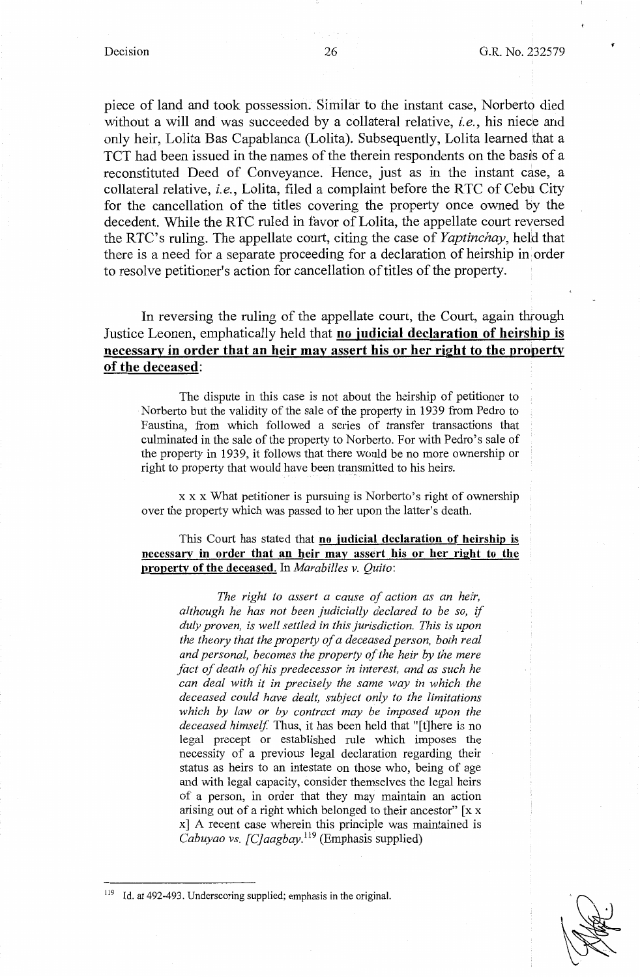piece of land and took possession. Similar to the instant case, Norberto died without a will and was succeeded by a collateral relative, *i.e.*, his niece and only heir, Lolita Bas Capablanca (Lolita). Subsequently, Lolita learned that a TCT had been issued in the names of the therein respondents on the basis of a reconstituted Deed of Conveyance. Hence, just as in the instant case, a collateral relative, *i.e.,* Lolita, filed a complaint before the RTC of Cebu City for the cancellation of the titles covering the property once owned by the decedent. While the RTC ruled in favor of Lolita, the appellate court reversed the RTC's ruling. The appellate court, citing the case of *Yaptinchay,* held that there is a need for a separate proceeding for a declaration of heirship in order to resolve petitioner's action for cancellation of titles of the property.

In reversing the ruling of the appellate court, the Court, again through Justice Leonen, emphatically held that **no judicial declaration of heirship is necessary in order that an heir may assert his or her right to the property of the deceased:** 

The dispute in this case is not about the heirship of petitioner to Norberto but the validity of the sale of the property in 1939 from Pedro to Faustina, from which followed a series of transfer transactions that culminated in the sale of the property to Norberto. For with Pedro's sale of the property in 1939, it follows that there would be no more ownership or right to property that would have been transmitted to his heirs.

xx x What petitioner is pursuing is Norberto's right of ownership over the property which was passed to her upon the latter's death.

### This Court has stated that **no judicial declaration of heirship** is **necessary in order that an heir may assert his or her right to the property of the deceased.** In *Marabilles v. Quito:*

*The right to assert a cause of action as an heir, although he has not been judicially declared to be so,* if *duly proven, is well settled in this jurisdiction. This is upon the theory that the property of a deceased person, both real and personal, becomes the property of the heir by the mere fact of death of his predecessor in interest, and as such he can deal with it in precisely the same way in which the deceased could have dealt, subject only to the limitations which by law or by contract may be imposed upon the deceased himself.* Thus, it has been held that "[t]here is no legal precept or established rule which imposes the necessity of a previous legal declaration regarding their status as heirs to an intestate on those who, being of age and with legal capacity, consider themselves the legal heirs of a person, in order that they may maintain an action arising out of a right which belonged to their ancestor"  $\left[x x\right]$ x] A recent case wherein this principle was maintained is *Cabuyao vs. [C]aagbay.*<sup>119</sup> (Emphasis supplied)

<sup>119</sup> Id. at 492-493. Underscoring supplied; emphasis in the original.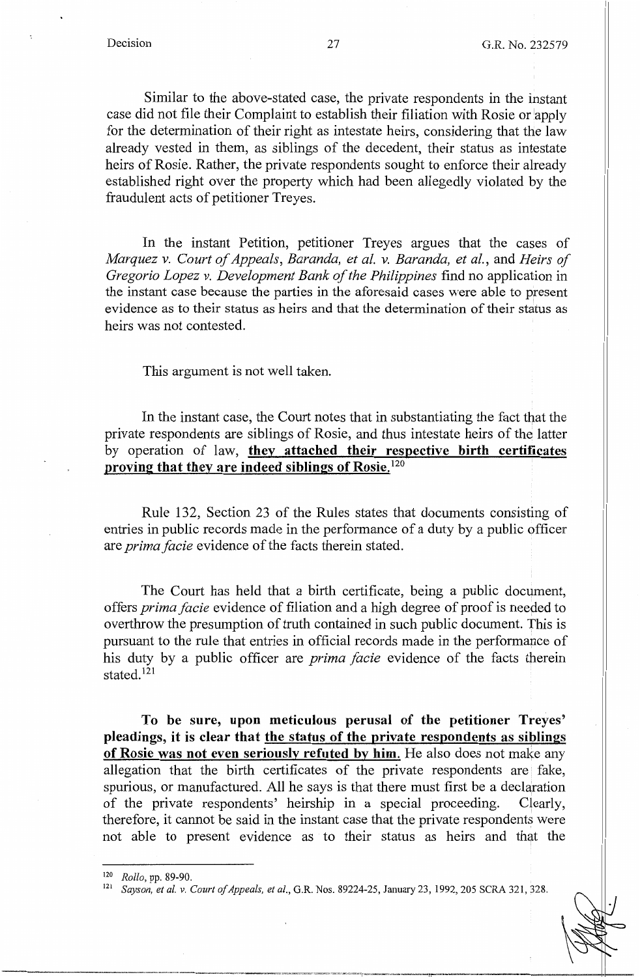Similar to the above-stated case, the private respondents in the instant case did not file their Complaint to establish their filiation with Rosie or 'apply for the determination of their right as intestate heirs, considering that the law already vested in them, as siblings of the decedent, their status as intestate heirs of Rosie. Rather, the private respondents sought to enforce their already established right over the property which had been allegedly violated by the fraudulent acts of petitioner Treyes.

In the instant Petition, petitioner Treyes argues that the cases of *Marquez v. Court of Appeals, Baranda, et al. v. Baranda, et al.,* and *Heirs of Gregorio Lopez v. Development Bank of the Philippines* find no application in the instant case because the parties in the aforesaid cases were able to present evidence as to their status as heirs and that the determination of their status as heirs was not contested.

This argument is not well taken.

In the instant case, the Court notes that in substantiating the fact that the private respondents are siblings of Rosie, and thus intestate heirs of the latter by operation of law, **they attached their respective birth certificates proving that they are indeed siblings of Rosie.** <sup>120</sup>

Rule 132, Section 23 of the Rules states that documents consisting of entries in public records made in the performance of a duty by a public officer are *prima facie* evidence of the facts therein stated.

The Court has held that a birth certificate, being a public document, offers *prima facie* evidence of filiation and a high degree of proof is needed to overthrow the presumption of truth contained in such public document. This is pursuant to the rule that entries in official records made in the performance of his duty by a public officer are *prima facie* evidence of the facts therein stated.<sup>121</sup>

**To be sure, upon meticulous perusal of the petitioner Treyes' pleadings, it is clear that the status of the private respondents as siblings of Rosie was not even seriously refuted by him.** He also does not make any allegation that the birth certificates of the private respondents are fake, spurious, or manufactured. All he says is that there must first be a declaration of the private respondents' heirship in a special proceeding. Clearly, therefore, it cannot be said in the instant case that the private respondents were not able to present evidence as to their status as heirs and that the

<sup>120</sup> *Rollo, pp. 89-90.*<br><sup>121</sup> *Sayson, et al. v. Court of Appeals, et al., G.R. Nos. 89224-25, January 23, 1992, 205 SCRA 321, 328.*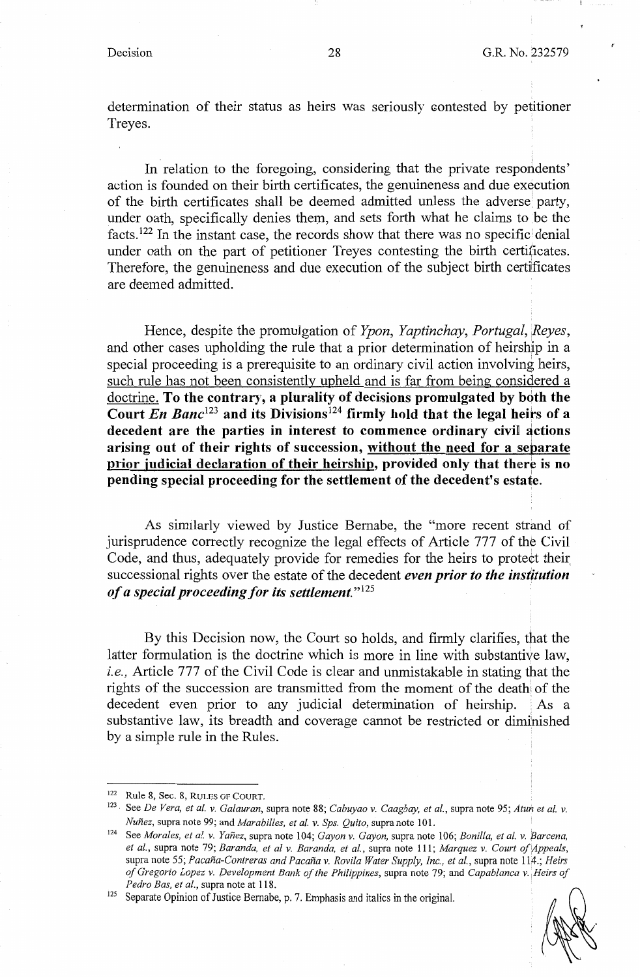determination of their status as heirs was seriously contested by petitioner Treyes.

In relation to the foregoing, considering that the private respondents' action is founded on their birth certificates, the genuineness and due execution of the birth certificates shall be deemed admitted unless the adverse party, under oath, specifically denies them, and sets forth what he claims to be the facts.<sup>122</sup> In the instant case, the records show that there was no specific denial under oath on the part of petitioner Treyes contesting the birth certificates. Therefore, the genuineness and due execution of the subject birth certificates are deemed admitted.

Hence, despite the promulgation of *Ypon, Yaptinchay, Portugal, Reyes,*  and other cases upholding the rule that a prior determination of heirship in a special proceeding is a prerequisite to an ordinary civil action involving heirs, such rule has not been consistently upheld and is far from being considered a doctrine. **To the contrary, a plurality of decisions promulgated by both the**  Court *En Banc*<sup>123</sup> and its Divisions<sup>124</sup> firmly hold that the legal heirs of a decedent are the parties in interest to commence ordinary civil actions **arising out of their rights of succession, without the need for a separate**  prior judicial declaration of their heirship, provided only that there is no **pending special proceeding for the settlement of the decedent's estate.** 

As similarly viewed by Justice Bernabe, the "more recent strand of jurisprudence correctly recognize the legal effects of Article 777 of the Civil Code, and thus, adequately provide for remedies for the heirs to protect their, successional rights over the estate of the decedent *even prior to the institution of a special proceeding for its settlement."* **<sup>125</sup>**

By this Decision now, the Court so holds, and firmly clarifies, that the latter formulation is the doctrine which is more in line with substantive law, *i.e.,* Article 777 of the Civil Code is clear and unmistakable in stating that the rights of the succession are transmitted from the moment of the death of the decedent even prior to any judicial determination of heirship. As a substantive law, its breadth and coverage cannot be restricted or diminished by a simple rule in the Rules.

*Pedro Bas, et al.*, supra note at 118.<br><sup>125</sup> Separate Opinion of Justice Bernabe, p. 7. Emphasis and italics in the original.



<sup>122</sup> Rule 8, Sec. 8, RULES OF COURT. 123 • See *De Vera, et al. v. Galauran,* supra note 88; *Cabuyao v. Caagbay, et al.,* supra note 95; *Atun et al. v.* 

*Nunez,* supra note 99; and *Marabilles, et al. v. Sps. Quito,* supra note 101. 124 See *Morales, et al. v. Yanez,* supra note 104; *Gayon v. Gayon,* supra note 106; *Bonilla, et al. v. Barcena, et al.,* supra note 79; *Baranda, et al v. Baranda, et al.,* supra note 111; *Marquez v. Court of',Appeals,*  supra note 55; *Pacana-Contreras and Pacana v. Rovila Water Supply, Inc., et al.,* supra note 114.; *Heirs of Gregorio Lopez v. Development Bank of the Philippines,* supra note 79; and *Capablanca v. ;Heirs of*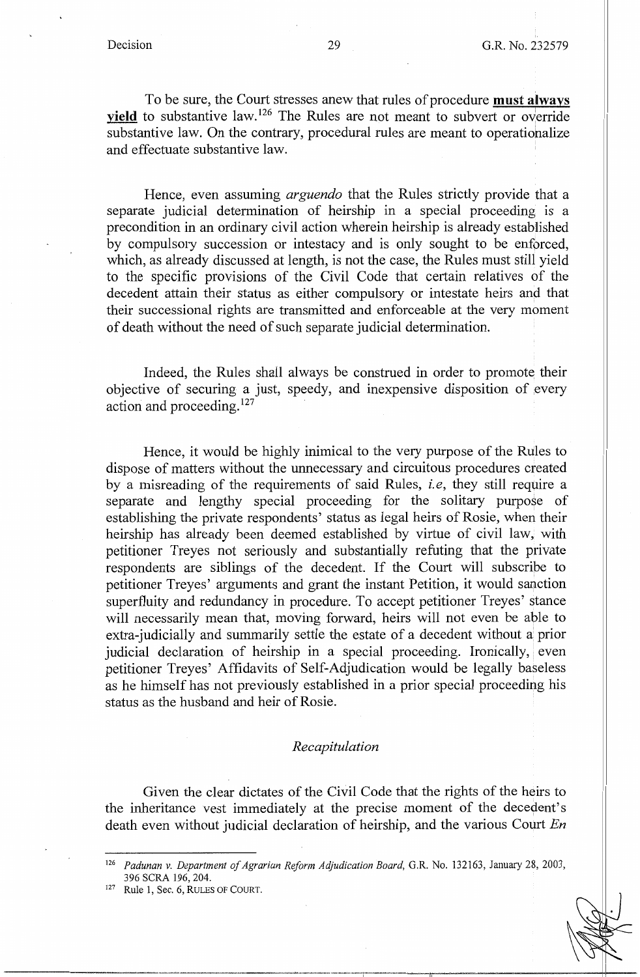To be sure, the Court stresses anew that rules of procedure **must always**  vield to substantive law.<sup>126</sup> The Rules are not meant to subvert or override substantive law. On the contrary, procedural rules are meant to operationalize and effectuate substantive law.

Hence, even assuming *arguendo* that the Rules strictly provide that a separate judicial determination of heirship in a special proceeding is a precondition in an ordinary civil action wherein heirship is already established by compulsory succession or intestacy and is only sought to be enforced, which, as already discussed at length, is not the case, the Rules must still yield to the specific provisions of the Civil Code that certain relatives of the decedent attain their status as either compulsory or intestate heirs and that their successional rights are transmitted and enforceable at the very moment of death without the need of such separate judicial detennination.

Indeed, the Rules shall always be construed in order to promote their objective of securing a just, speedy, and inexpensive disposition of every action and proceeding. <sup>127</sup>

Hence, it would be highly inimical to the very purpose of the Rules to dispose of matters without the unnecessary and circuitous procedures created by a misreading of the requirements of said Rules, i. *e,* they still require a separate and lengthy special proceeding for the solitary purpose of establishing the private respondents' status as legal heirs of Rosie, when their heirship has already been deemed established by virtue of civil law, with petitioner Treyes not seriously and substantially refuting that the private respondents are siblings of the decedent. If the Court will subscribe to petitioner Treyes' arguments and grant the instant Petition, it would sanction superfluity and redundancy in procedure. To accept petitioner Treyes' stance will necessarily mean that, moving forward, heirs will not even be able to extra-judicially and summarily settle the estate of a decedent without a prior judicial declaration of heirship in a special proceeding. Ironically, even petitioner Treyes' Affidavits of Self-Adjudication would be legally baseless as he himself has not previously established in a prior special proceeding his status as the husband and heir of Rosie.

#### *Recapitulation*

Given the clear dictates of the Civil Code that the rights of the heirs to the inheritance vest immediately at the precise moment of the decedent's death even without judicial declaration of heirship, and the various Court *En* 

<sup>126</sup>*Padunan v. Department of Agrarian Reform Adjudication Board,* G.R. No. 132163, January 28, 2003, 396 SCRA 196, 204.<br><sup>127</sup> Rule 1, Sec. 6, RULES OF COURT.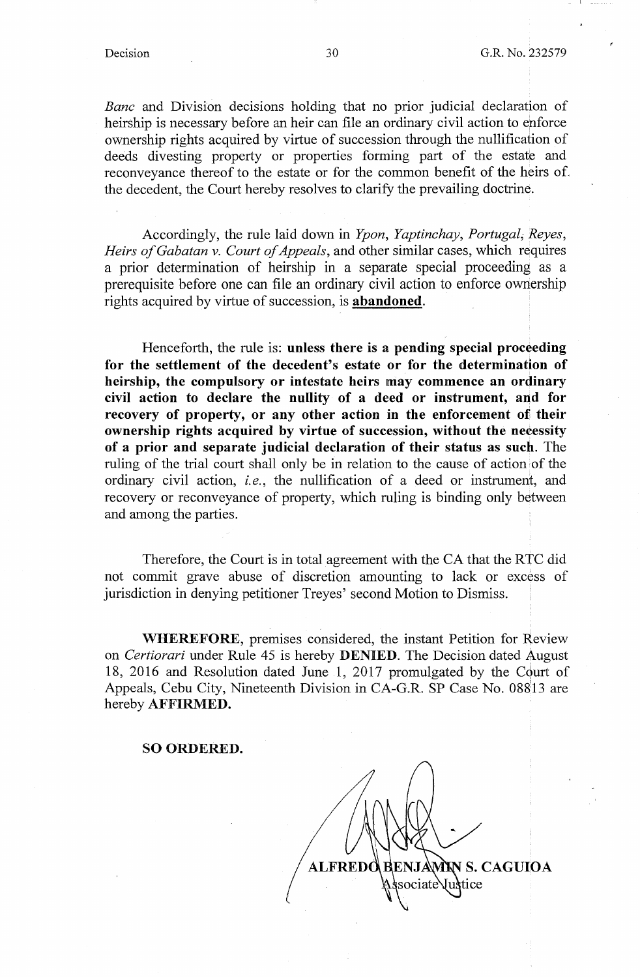*Banc* and Division decisions holding that no prior judicial declaration of heirship is necessary before an heir can file an ordinary civil action to enforce ownership rights acquired by virtue of succession through the nullification of deeds divesting property or properties forming part of the estate and reconveyance thereof to the estate or for the common benefit of the heirs of the decedent, the Court hereby resolves to clarify the prevailing doctrine.

Accordingly, the rule laid down in *Ypon, Yaptinchay, Portugal; Reyes, Heirs of Gabatan v. Court of Appeals,* and other similar cases, which requires a prior determination of heirship in a separate special proceeding as a prerequisite before one can file an ordinary civil action to enforce ownership rights acquired by virtue of succession, is **abandoned.** 

Henceforth, the rule is: **unless there is a pending special proceeding for the settlement of the decedent's estate or for the determination of heirship, the compulsory or intestate heirs may commence an ordinary civil action to declare the nullity of a deed or instrument, and for recovery of property, or any other action in the enforcement of their ownership rights acquired by virtue of succession, without the necessity of a prior and separate judicial declaration of their status as such.** The ruling of the trial court shall only be in relation to the cause of action of the ordinary civil action, *i.e.,* the nullification of a deed or instrument, and recovery or reconveyance of property, which ruling is binding only between and among the parties.

Therefore, the Court is in total agreement with the CA that the RTC did not commit grave abuse of discretion amounting to lack or excess of jurisdiction in denying petitioner Treyes' second Motion to Dismiss.

**WHEREFORE,** premises considered, the instant Petition for Review on *Certiorari* under Rule 45 is hereby **DENIED.** The Decision dated August 18, 2016 and Resolution dated June 1, 2017 promulgated by the Court of Appeals, Cebu City, Nineteenth Division in CA-G.R. **SP** Case No. 08813 are hereby **AFFIRMED.** 

#### **SO ORDERED.**

**S. CAGUIOA** ociate ice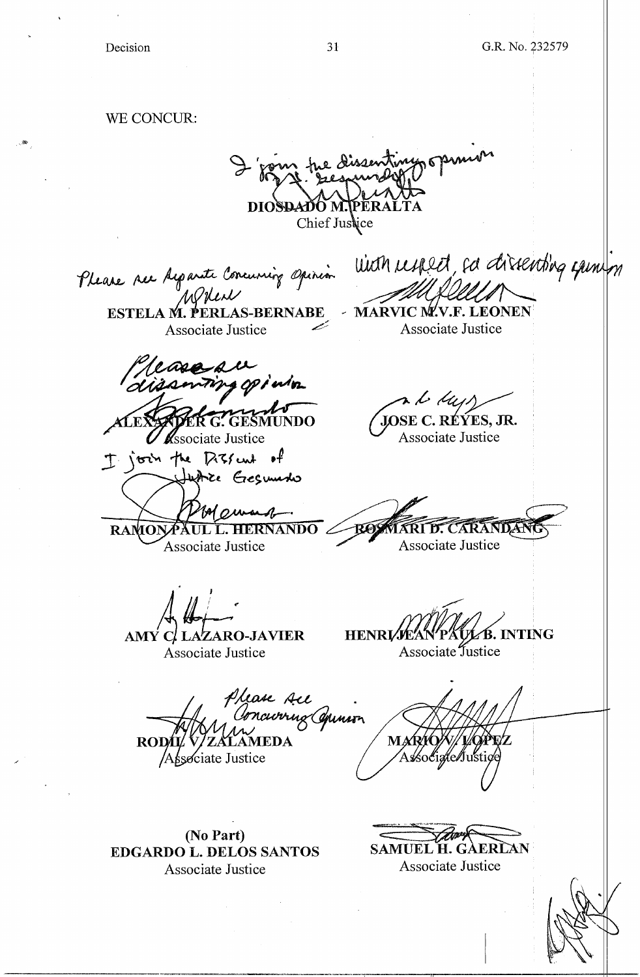$\ddot{\phantom{a}}$ 

 $\sim$   $\delta \theta$ 

| WE CONCUR:                                                                                                                                                                         |
|------------------------------------------------------------------------------------------------------------------------------------------------------------------------------------|
| The Dissenting opinion<br>DIOSDADO M.TPERAI<br>Chief Justice                                                                                                                       |
| with respect, a directing gamen<br>Please ser Acparate Coocurring Opinion<br>AY.V.F.<br>AS-BERNABE<br><b>MARVI</b><br><b>ESTE</b><br>Associate Justice<br><b>Associate Justice</b> |
| Please au<br>t My<br>JOSE C. RÉÝES, JR.<br>ſб<br>Associate Justice<br><b>K</b> ssociate Justice                                                                                    |
| I join the Dissent of<br>Justice Gegumento<br>IA pursed<br><b>RAMON</b><br>Associate Justice<br>Associate Justice                                                                  |
| <b>B. INTING</b><br>AMY C/ LAZARO-JAVIER<br><b>HENRI</b><br>Associate Justice<br>Associate Justice                                                                                 |
| Please Ace<br>Concivring Commin<br><b>MAR</b><br><b>TEDA</b><br><b>ROD</b><br>/socig/te/Justice<br>sociate Justice                                                                 |
| (No Part)<br><b>SAMUEL H. GAERLAN</b><br><b>EDGARDO L. DELOS SANTOS</b><br>Associate Justice<br>Associate Justice                                                                  |
|                                                                                                                                                                                    |